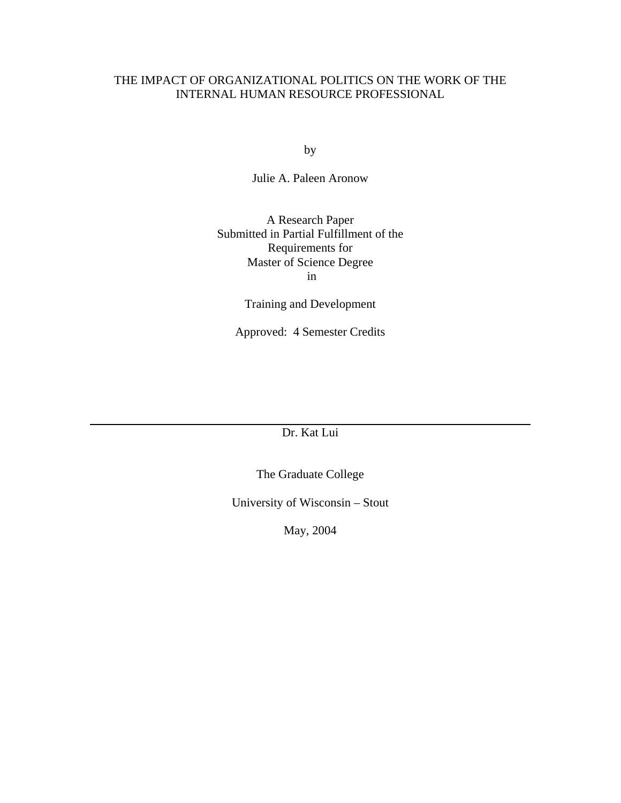# THE IMPACT OF ORGANIZATIONAL POLITICS ON THE WORK OF THE INTERNAL HUMAN RESOURCE PROFESSIONAL

by

Julie A. Paleen Aronow

A Research Paper Submitted in Partial Fulfillment of the Requirements for Master of Science Degree in

Training and Development

Approved: 4 Semester Credits

Dr. Kat Lui

The Graduate College

University of Wisconsin – Stout

May, 2004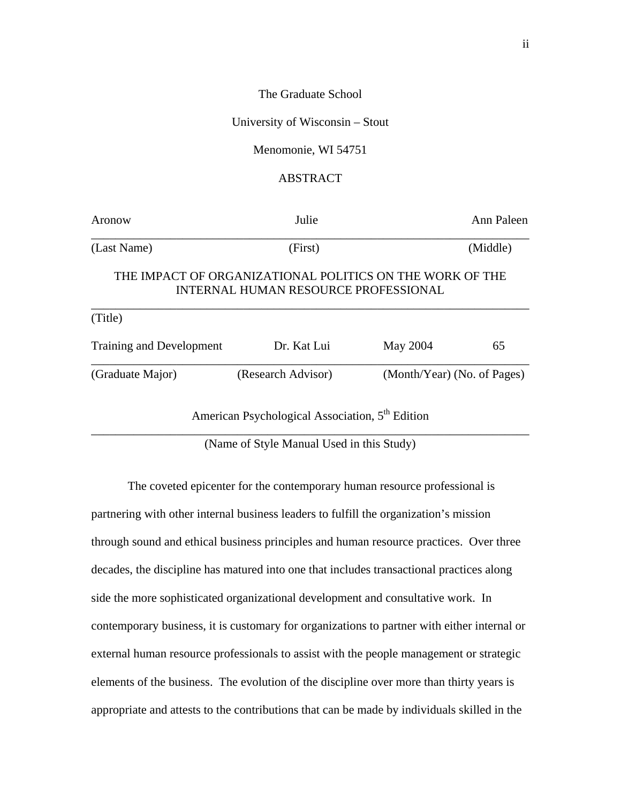The Graduate School

University of Wisconsin – Stout

# Menomonie, WI 54751

# ABSTRACT

| Aronow                   | Julie                                                                                            |          | Ann Paleen                  |
|--------------------------|--------------------------------------------------------------------------------------------------|----------|-----------------------------|
| (Last Name)              | (First)                                                                                          |          | (Middle)                    |
|                          | THE IMPACT OF ORGANIZATIONAL POLITICS ON THE WORK OF THE<br>INTERNAL HUMAN RESOURCE PROFESSIONAL |          |                             |
| (Title)                  |                                                                                                  |          |                             |
| Training and Development | Dr. Kat Lui                                                                                      | May 2004 | 65                          |
| (Graduate Major)         | (Research Advisor)                                                                               |          | (Month/Year) (No. of Pages) |
|                          | American Psychological Association, 5 <sup>th</sup> Edition                                      |          |                             |

(Name of Style Manual Used in this Study)

 The coveted epicenter for the contemporary human resource professional is partnering with other internal business leaders to fulfill the organization's mission through sound and ethical business principles and human resource practices. Over three decades, the discipline has matured into one that includes transactional practices along side the more sophisticated organizational development and consultative work. In contemporary business, it is customary for organizations to partner with either internal or external human resource professionals to assist with the people management or strategic elements of the business. The evolution of the discipline over more than thirty years is appropriate and attests to the contributions that can be made by individuals skilled in the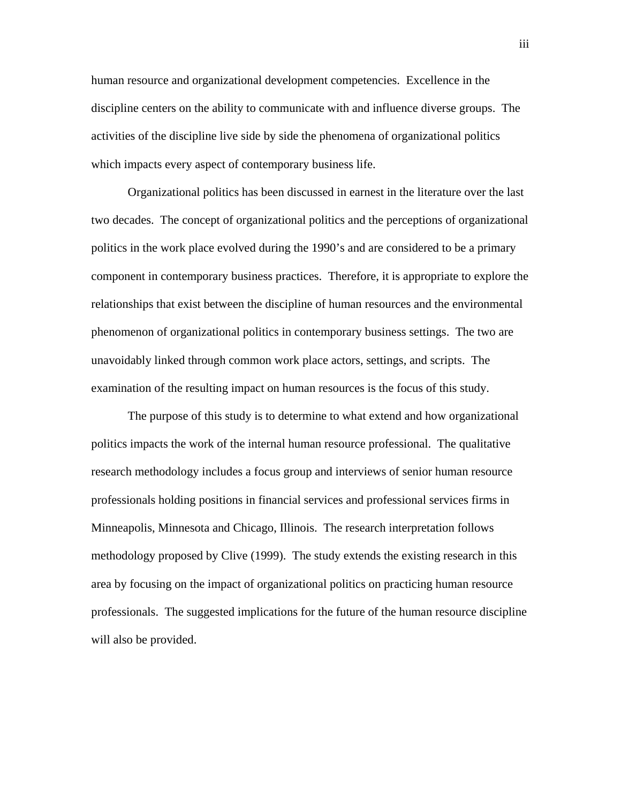human resource and organizational development competencies. Excellence in the discipline centers on the ability to communicate with and influence diverse groups. The activities of the discipline live side by side the phenomena of organizational politics which impacts every aspect of contemporary business life.

 Organizational politics has been discussed in earnest in the literature over the last two decades. The concept of organizational politics and the perceptions of organizational politics in the work place evolved during the 1990's and are considered to be a primary component in contemporary business practices. Therefore, it is appropriate to explore the relationships that exist between the discipline of human resources and the environmental phenomenon of organizational politics in contemporary business settings. The two are unavoidably linked through common work place actors, settings, and scripts. The examination of the resulting impact on human resources is the focus of this study.

 The purpose of this study is to determine to what extend and how organizational politics impacts the work of the internal human resource professional. The qualitative research methodology includes a focus group and interviews of senior human resource professionals holding positions in financial services and professional services firms in Minneapolis, Minnesota and Chicago, Illinois. The research interpretation follows methodology proposed by Clive (1999). The study extends the existing research in this area by focusing on the impact of organizational politics on practicing human resource professionals. The suggested implications for the future of the human resource discipline will also be provided.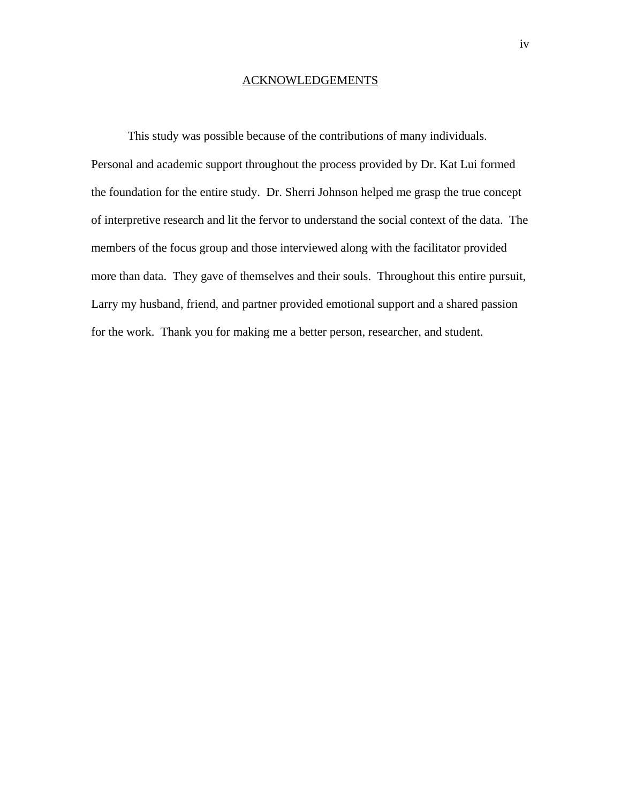#### ACKNOWLEDGEMENTS

 This study was possible because of the contributions of many individuals. Personal and academic support throughout the process provided by Dr. Kat Lui formed the foundation for the entire study. Dr. Sherri Johnson helped me grasp the true concept of interpretive research and lit the fervor to understand the social context of the data. The members of the focus group and those interviewed along with the facilitator provided more than data. They gave of themselves and their souls. Throughout this entire pursuit, Larry my husband, friend, and partner provided emotional support and a shared passion for the work. Thank you for making me a better person, researcher, and student.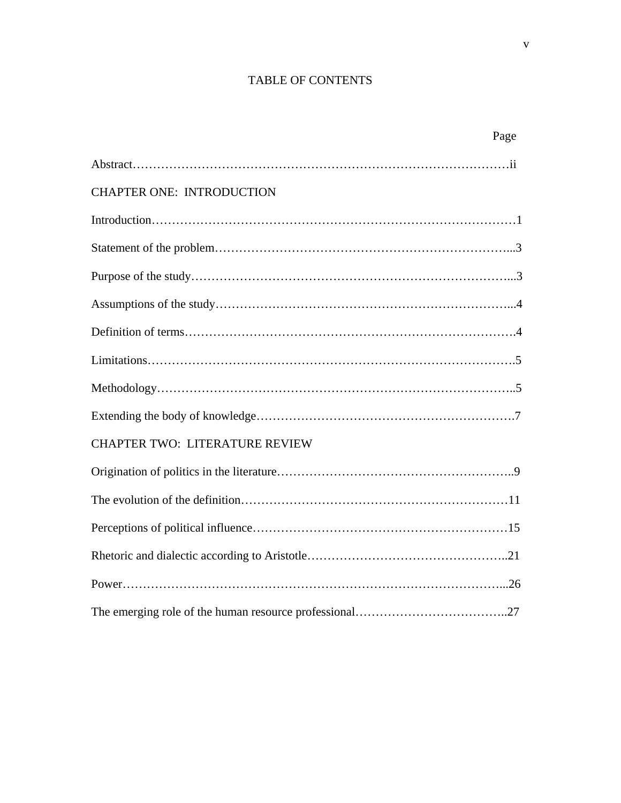# TABLE OF CONTENTS

|                                       | Page |
|---------------------------------------|------|
|                                       |      |
| <b>CHAPTER ONE: INTRODUCTION</b>      |      |
|                                       |      |
|                                       |      |
|                                       |      |
|                                       |      |
|                                       |      |
|                                       |      |
|                                       |      |
|                                       |      |
| <b>CHAPTER TWO: LITERATURE REVIEW</b> |      |
|                                       |      |
|                                       |      |
|                                       |      |
|                                       |      |
|                                       |      |
|                                       |      |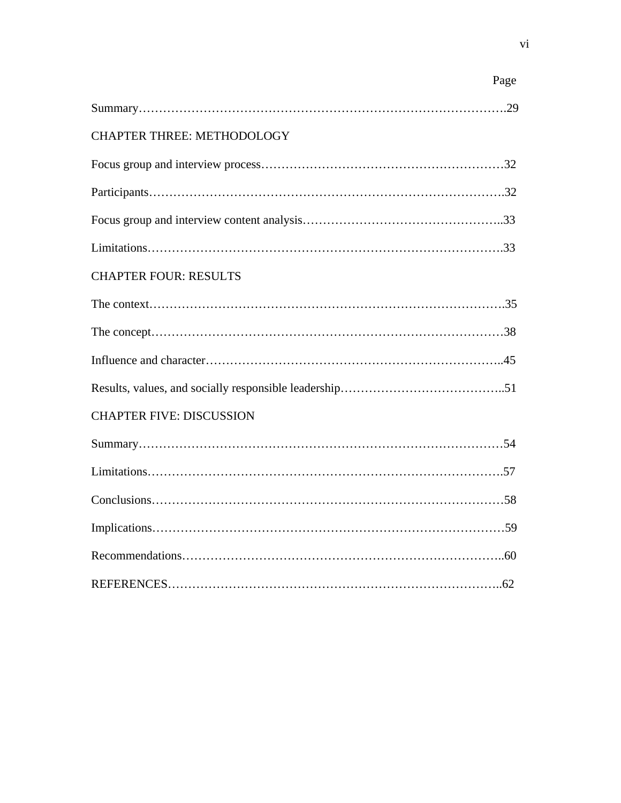| Page                              |
|-----------------------------------|
|                                   |
| <b>CHAPTER THREE: METHODOLOGY</b> |
|                                   |
|                                   |
|                                   |
|                                   |
| <b>CHAPTER FOUR: RESULTS</b>      |
|                                   |
|                                   |
|                                   |
|                                   |
| <b>CHAPTER FIVE: DISCUSSION</b>   |
|                                   |
|                                   |
|                                   |
|                                   |
|                                   |
|                                   |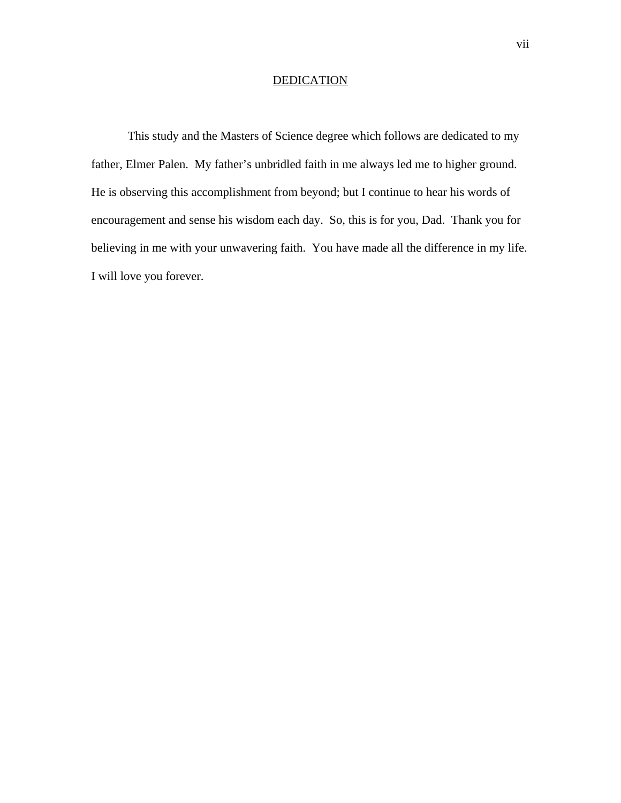# **DEDICATION**

 This study and the Masters of Science degree which follows are dedicated to my father, Elmer Palen. My father's unbridled faith in me always led me to higher ground. He is observing this accomplishment from beyond; but I continue to hear his words of encouragement and sense his wisdom each day. So, this is for you, Dad. Thank you for believing in me with your unwavering faith. You have made all the difference in my life. I will love you forever.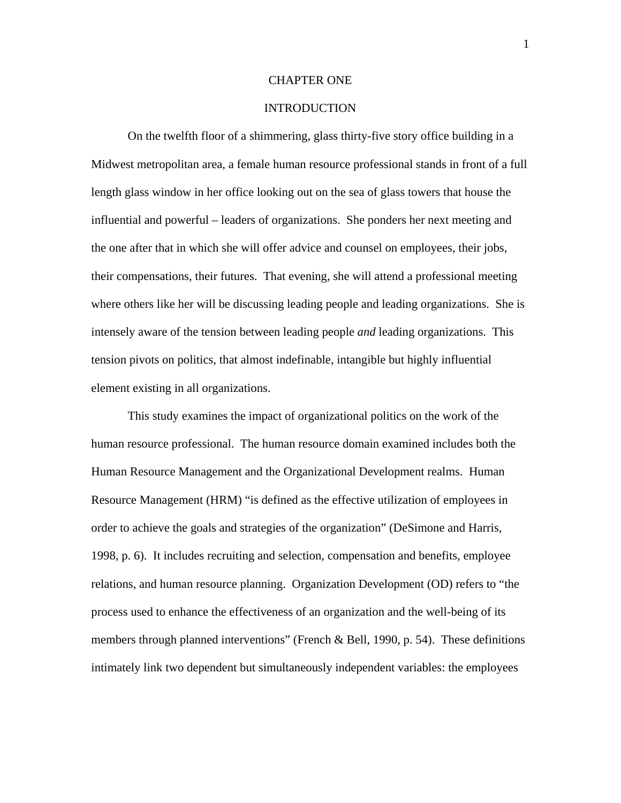#### CHAPTER ONE

# INTRODUCTION

 On the twelfth floor of a shimmering, glass thirty-five story office building in a Midwest metropolitan area, a female human resource professional stands in front of a full length glass window in her office looking out on the sea of glass towers that house the influential and powerful – leaders of organizations. She ponders her next meeting and the one after that in which she will offer advice and counsel on employees, their jobs, their compensations, their futures. That evening, she will attend a professional meeting where others like her will be discussing leading people and leading organizations. She is intensely aware of the tension between leading people *and* leading organizations. This tension pivots on politics, that almost indefinable, intangible but highly influential element existing in all organizations.

 This study examines the impact of organizational politics on the work of the human resource professional. The human resource domain examined includes both the Human Resource Management and the Organizational Development realms. Human Resource Management (HRM) "is defined as the effective utilization of employees in order to achieve the goals and strategies of the organization" (DeSimone and Harris, 1998, p. 6). It includes recruiting and selection, compensation and benefits, employee relations, and human resource planning. Organization Development (OD) refers to "the process used to enhance the effectiveness of an organization and the well-being of its members through planned interventions" (French & Bell, 1990, p. 54). These definitions intimately link two dependent but simultaneously independent variables: the employees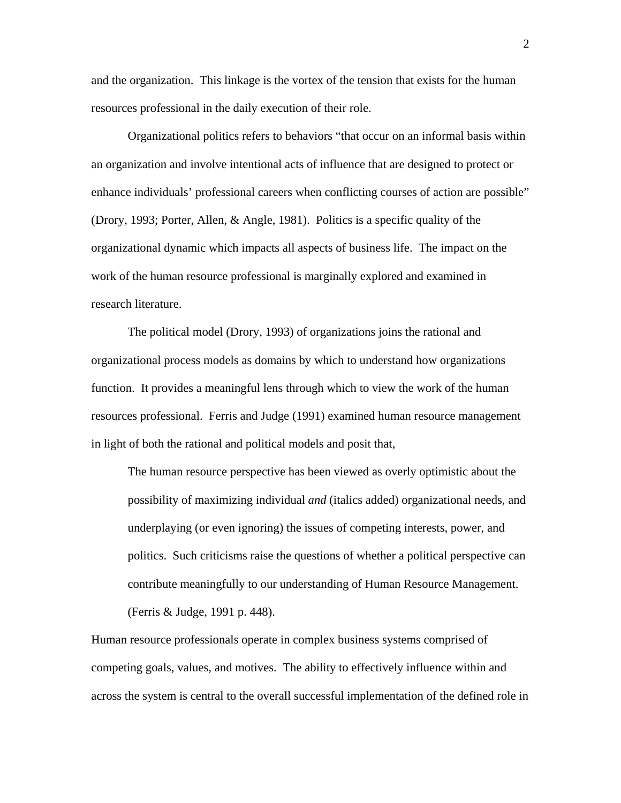and the organization. This linkage is the vortex of the tension that exists for the human resources professional in the daily execution of their role.

 Organizational politics refers to behaviors "that occur on an informal basis within an organization and involve intentional acts of influence that are designed to protect or enhance individuals' professional careers when conflicting courses of action are possible" (Drory, 1993; Porter, Allen, & Angle, 1981). Politics is a specific quality of the organizational dynamic which impacts all aspects of business life. The impact on the work of the human resource professional is marginally explored and examined in research literature.

 The political model (Drory, 1993) of organizations joins the rational and organizational process models as domains by which to understand how organizations function. It provides a meaningful lens through which to view the work of the human resources professional. Ferris and Judge (1991) examined human resource management in light of both the rational and political models and posit that,

The human resource perspective has been viewed as overly optimistic about the possibility of maximizing individual *and* (italics added) organizational needs, and underplaying (or even ignoring) the issues of competing interests, power, and politics. Such criticisms raise the questions of whether a political perspective can contribute meaningfully to our understanding of Human Resource Management. (Ferris & Judge, 1991 p. 448).

Human resource professionals operate in complex business systems comprised of competing goals, values, and motives. The ability to effectively influence within and across the system is central to the overall successful implementation of the defined role in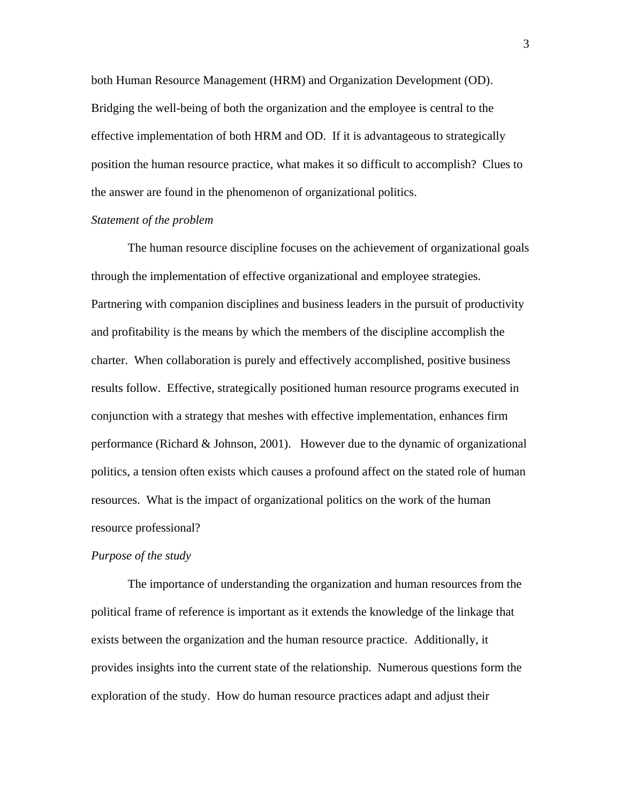both Human Resource Management (HRM) and Organization Development (OD). Bridging the well-being of both the organization and the employee is central to the effective implementation of both HRM and OD. If it is advantageous to strategically position the human resource practice, what makes it so difficult to accomplish? Clues to the answer are found in the phenomenon of organizational politics.

#### *Statement of the problem*

The human resource discipline focuses on the achievement of organizational goals through the implementation of effective organizational and employee strategies. Partnering with companion disciplines and business leaders in the pursuit of productivity and profitability is the means by which the members of the discipline accomplish the charter. When collaboration is purely and effectively accomplished, positive business results follow. Effective, strategically positioned human resource programs executed in conjunction with a strategy that meshes with effective implementation, enhances firm performance (Richard & Johnson, 2001). However due to the dynamic of organizational politics, a tension often exists which causes a profound affect on the stated role of human resources. What is the impact of organizational politics on the work of the human resource professional?

#### *Purpose of the study*

The importance of understanding the organization and human resources from the political frame of reference is important as it extends the knowledge of the linkage that exists between the organization and the human resource practice. Additionally, it provides insights into the current state of the relationship. Numerous questions form the exploration of the study. How do human resource practices adapt and adjust their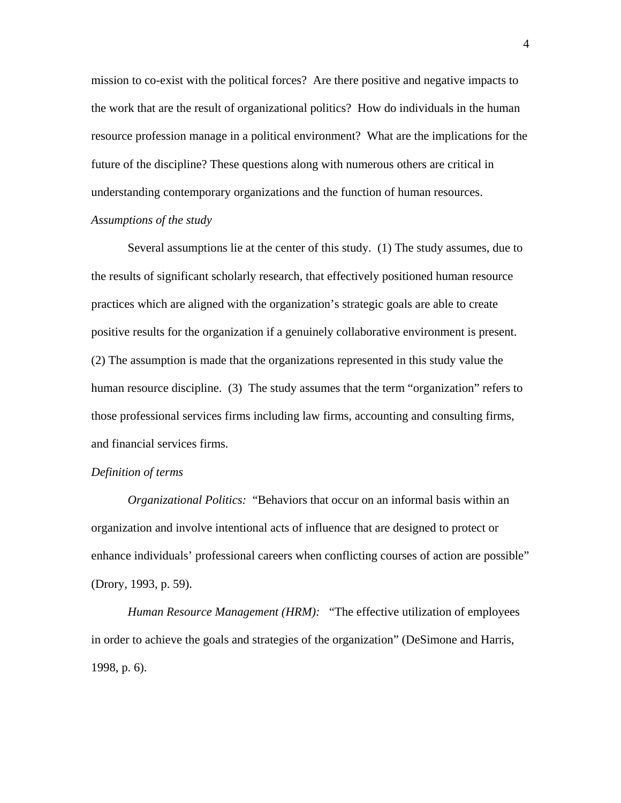mission to co-exist with the political forces? Are there positive and negative impacts to the work that are the result of organizational politics? How do individuals in the human resource profession manage in a political environment? What are the implications for the future of the discipline? These questions along with numerous others are critical in understanding contemporary organizations and the function of human resources. *Assumptions of the study* 

# Several assumptions lie at the center of this study. (1) The study assumes, due to the results of significant scholarly research, that effectively positioned human resource practices which are aligned with the organization's strategic goals are able to create positive results for the organization if a genuinely collaborative environment is present. (2) The assumption is made that the organizations represented in this study value the human resource discipline. (3) The study assumes that the term "organization" refers to those professional services firms including law firms, accounting and consulting firms, and financial services firms.

#### *Definition of terms*

*Organizational Politics:* "Behaviors that occur on an informal basis within an organization and involve intentional acts of influence that are designed to protect or enhance individuals' professional careers when conflicting courses of action are possible" (Drory, 1993, p. 59).

*Human Resource Management (HRM):* "The effective utilization of employees in order to achieve the goals and strategies of the organization" (DeSimone and Harris, 1998, p. 6).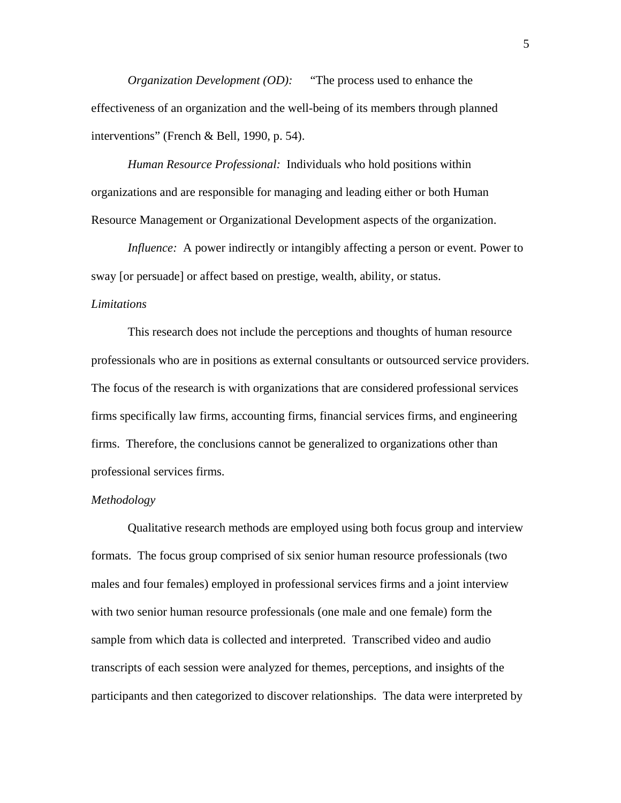*Organization Development (OD):* "The process used to enhance the effectiveness of an organization and the well-being of its members through planned interventions" (French & Bell, 1990, p. 54).

*Human Resource Professional:* Individuals who hold positions within organizations and are responsible for managing and leading either or both Human Resource Management or Organizational Development aspects of the organization.

*Influence:* A power indirectly or intangibly affecting a person or event. Power to sway [or persuade] or affect based on prestige, wealth, ability, or status.

#### *Limitations*

 This research does not include the perceptions and thoughts of human resource professionals who are in positions as external consultants or outsourced service providers. The focus of the research is with organizations that are considered professional services firms specifically law firms, accounting firms, financial services firms, and engineering firms. Therefore, the conclusions cannot be generalized to organizations other than professional services firms.

#### *Methodology*

Qualitative research methods are employed using both focus group and interview formats. The focus group comprised of six senior human resource professionals (two males and four females) employed in professional services firms and a joint interview with two senior human resource professionals (one male and one female) form the sample from which data is collected and interpreted. Transcribed video and audio transcripts of each session were analyzed for themes, perceptions, and insights of the participants and then categorized to discover relationships. The data were interpreted by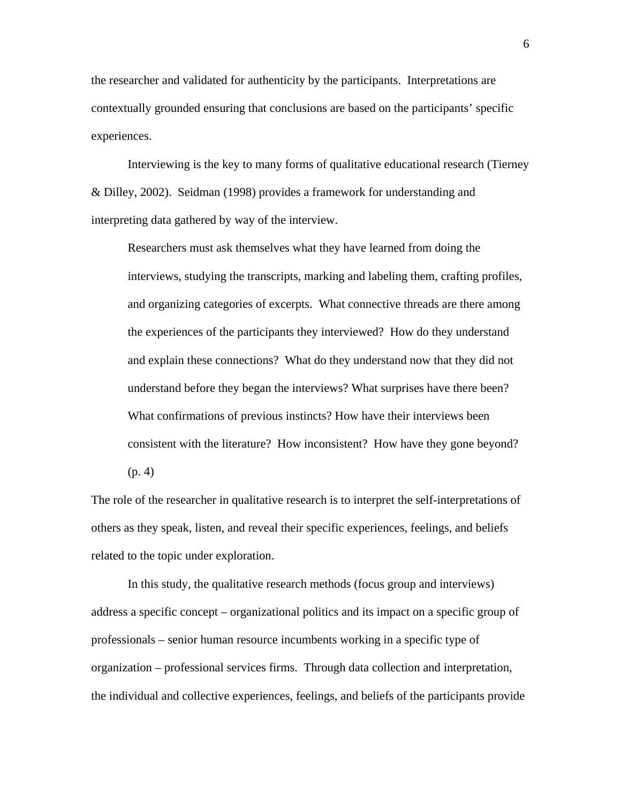the researcher and validated for authenticity by the participants. Interpretations are contextually grounded ensuring that conclusions are based on the participants' specific experiences.

 Interviewing is the key to many forms of qualitative educational research (Tierney & Dilley, 2002). Seidman (1998) provides a framework for understanding and interpreting data gathered by way of the interview.

Researchers must ask themselves what they have learned from doing the interviews, studying the transcripts, marking and labeling them, crafting profiles, and organizing categories of excerpts. What connective threads are there among the experiences of the participants they interviewed? How do they understand and explain these connections? What do they understand now that they did not understand before they began the interviews? What surprises have there been? What confirmations of previous instincts? How have their interviews been consistent with the literature? How inconsistent? How have they gone beyond? (p. 4)

The role of the researcher in qualitative research is to interpret the self-interpretations of others as they speak, listen, and reveal their specific experiences, feelings, and beliefs related to the topic under exploration.

 In this study, the qualitative research methods (focus group and interviews) address a specific concept – organizational politics and its impact on a specific group of professionals – senior human resource incumbents working in a specific type of organization – professional services firms. Through data collection and interpretation, the individual and collective experiences, feelings, and beliefs of the participants provide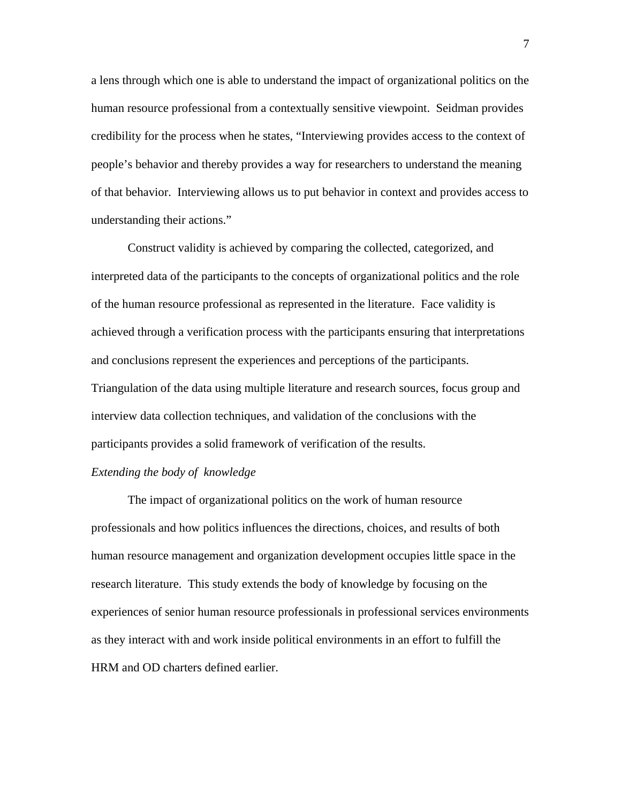a lens through which one is able to understand the impact of organizational politics on the human resource professional from a contextually sensitive viewpoint. Seidman provides credibility for the process when he states, "Interviewing provides access to the context of people's behavior and thereby provides a way for researchers to understand the meaning of that behavior. Interviewing allows us to put behavior in context and provides access to understanding their actions."

 Construct validity is achieved by comparing the collected, categorized, and interpreted data of the participants to the concepts of organizational politics and the role of the human resource professional as represented in the literature. Face validity is achieved through a verification process with the participants ensuring that interpretations and conclusions represent the experiences and perceptions of the participants. Triangulation of the data using multiple literature and research sources, focus group and interview data collection techniques, and validation of the conclusions with the participants provides a solid framework of verification of the results.

#### *Extending the body of knowledge*

 The impact of organizational politics on the work of human resource professionals and how politics influences the directions, choices, and results of both human resource management and organization development occupies little space in the research literature. This study extends the body of knowledge by focusing on the experiences of senior human resource professionals in professional services environments as they interact with and work inside political environments in an effort to fulfill the HRM and OD charters defined earlier.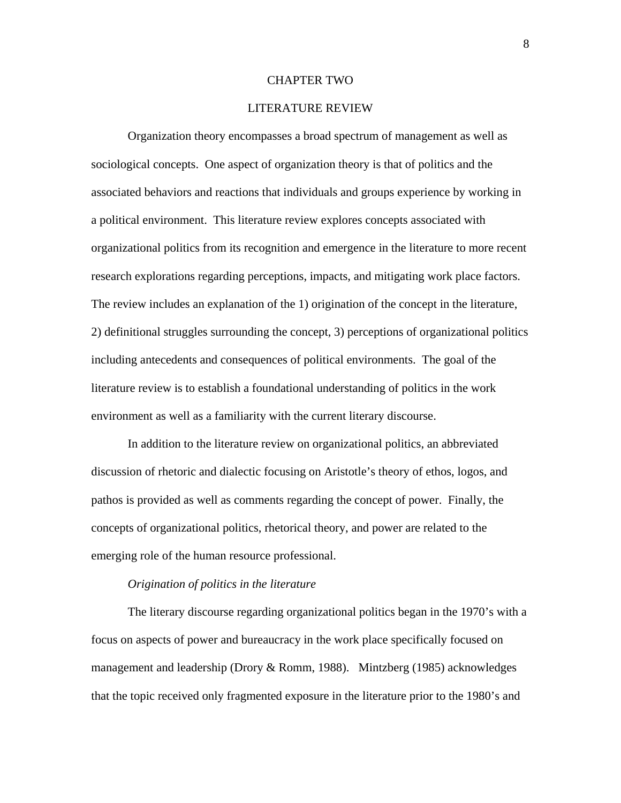#### CHAPTER TWO

# LITERATURE REVIEW

 Organization theory encompasses a broad spectrum of management as well as sociological concepts. One aspect of organization theory is that of politics and the associated behaviors and reactions that individuals and groups experience by working in a political environment. This literature review explores concepts associated with organizational politics from its recognition and emergence in the literature to more recent research explorations regarding perceptions, impacts, and mitigating work place factors. The review includes an explanation of the 1) origination of the concept in the literature, 2) definitional struggles surrounding the concept, 3) perceptions of organizational politics including antecedents and consequences of political environments. The goal of the literature review is to establish a foundational understanding of politics in the work environment as well as a familiarity with the current literary discourse.

In addition to the literature review on organizational politics, an abbreviated discussion of rhetoric and dialectic focusing on Aristotle's theory of ethos, logos, and pathos is provided as well as comments regarding the concept of power. Finally, the concepts of organizational politics, rhetorical theory, and power are related to the emerging role of the human resource professional.

#### *Origination of politics in the literature*

 The literary discourse regarding organizational politics began in the 1970's with a focus on aspects of power and bureaucracy in the work place specifically focused on management and leadership (Drory & Romm, 1988). Mintzberg (1985) acknowledges that the topic received only fragmented exposure in the literature prior to the 1980's and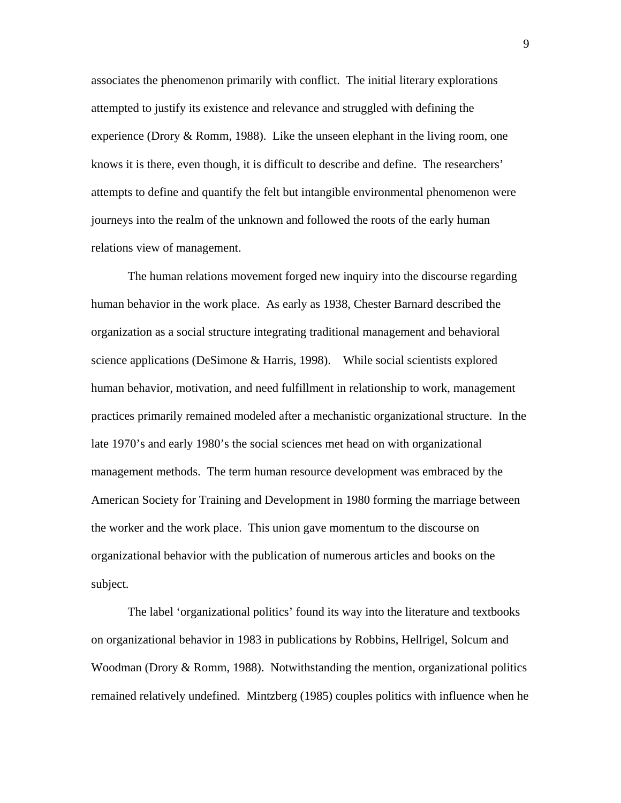associates the phenomenon primarily with conflict. The initial literary explorations attempted to justify its existence and relevance and struggled with defining the experience (Drory  $&$  Romm, 1988). Like the unseen elephant in the living room, one knows it is there, even though, it is difficult to describe and define. The researchers' attempts to define and quantify the felt but intangible environmental phenomenon were journeys into the realm of the unknown and followed the roots of the early human relations view of management.

The human relations movement forged new inquiry into the discourse regarding human behavior in the work place. As early as 1938, Chester Barnard described the organization as a social structure integrating traditional management and behavioral science applications (DeSimone & Harris, 1998). While social scientists explored human behavior, motivation, and need fulfillment in relationship to work, management practices primarily remained modeled after a mechanistic organizational structure. In the late 1970's and early 1980's the social sciences met head on with organizational management methods. The term human resource development was embraced by the American Society for Training and Development in 1980 forming the marriage between the worker and the work place. This union gave momentum to the discourse on organizational behavior with the publication of numerous articles and books on the subject.

The label 'organizational politics' found its way into the literature and textbooks on organizational behavior in 1983 in publications by Robbins, Hellrigel, Solcum and Woodman (Drory & Romm, 1988). Notwithstanding the mention, organizational politics remained relatively undefined. Mintzberg (1985) couples politics with influence when he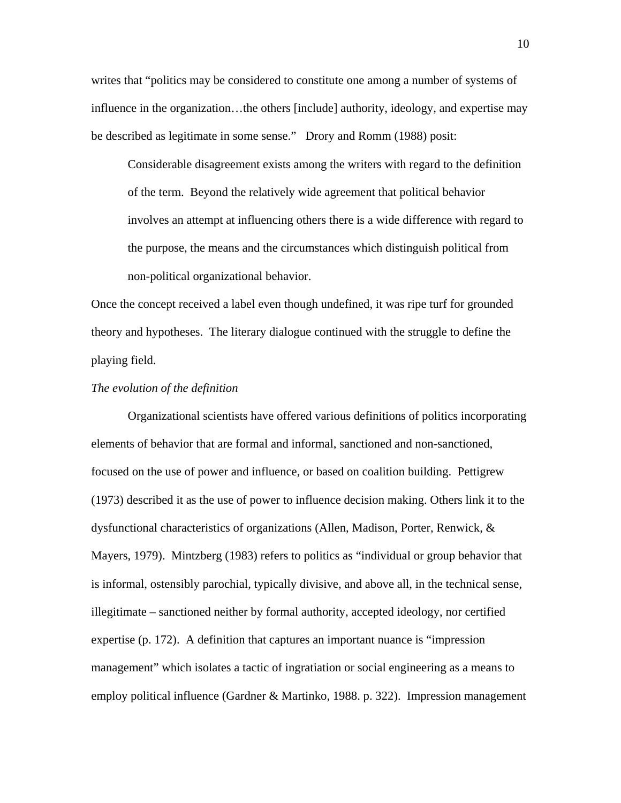writes that "politics may be considered to constitute one among a number of systems of influence in the organization…the others [include] authority, ideology, and expertise may be described as legitimate in some sense." Drory and Romm (1988) posit:

Considerable disagreement exists among the writers with regard to the definition of the term. Beyond the relatively wide agreement that political behavior involves an attempt at influencing others there is a wide difference with regard to the purpose, the means and the circumstances which distinguish political from non-political organizational behavior.

Once the concept received a label even though undefined, it was ripe turf for grounded theory and hypotheses. The literary dialogue continued with the struggle to define the playing field.

#### *The evolution of the definition*

Organizational scientists have offered various definitions of politics incorporating elements of behavior that are formal and informal, sanctioned and non-sanctioned, focused on the use of power and influence, or based on coalition building. Pettigrew (1973) described it as the use of power to influence decision making. Others link it to the dysfunctional characteristics of organizations (Allen, Madison, Porter, Renwick, & Mayers, 1979). Mintzberg (1983) refers to politics as "individual or group behavior that is informal, ostensibly parochial, typically divisive, and above all, in the technical sense, illegitimate – sanctioned neither by formal authority, accepted ideology, nor certified expertise (p. 172). A definition that captures an important nuance is "impression management" which isolates a tactic of ingratiation or social engineering as a means to employ political influence (Gardner & Martinko, 1988. p. 322). Impression management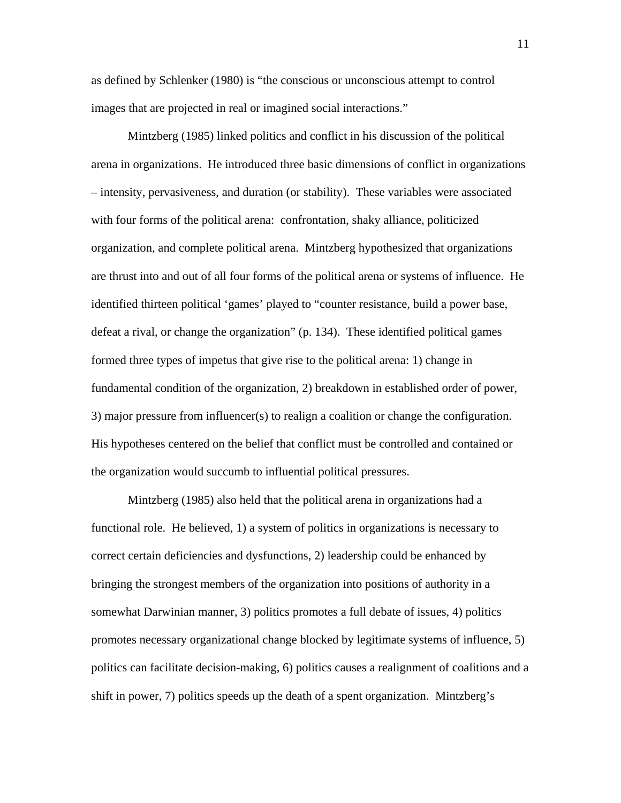as defined by Schlenker (1980) is "the conscious or unconscious attempt to control images that are projected in real or imagined social interactions."

 Mintzberg (1985) linked politics and conflict in his discussion of the political arena in organizations. He introduced three basic dimensions of conflict in organizations – intensity, pervasiveness, and duration (or stability). These variables were associated with four forms of the political arena: confrontation, shaky alliance, politicized organization, and complete political arena. Mintzberg hypothesized that organizations are thrust into and out of all four forms of the political arena or systems of influence. He identified thirteen political 'games' played to "counter resistance, build a power base, defeat a rival, or change the organization" (p. 134). These identified political games formed three types of impetus that give rise to the political arena: 1) change in fundamental condition of the organization, 2) breakdown in established order of power, 3) major pressure from influencer(s) to realign a coalition or change the configuration. His hypotheses centered on the belief that conflict must be controlled and contained or the organization would succumb to influential political pressures.

 Mintzberg (1985) also held that the political arena in organizations had a functional role. He believed, 1) a system of politics in organizations is necessary to correct certain deficiencies and dysfunctions, 2) leadership could be enhanced by bringing the strongest members of the organization into positions of authority in a somewhat Darwinian manner, 3) politics promotes a full debate of issues, 4) politics promotes necessary organizational change blocked by legitimate systems of influence, 5) politics can facilitate decision-making, 6) politics causes a realignment of coalitions and a shift in power, 7) politics speeds up the death of a spent organization. Mintzberg's

11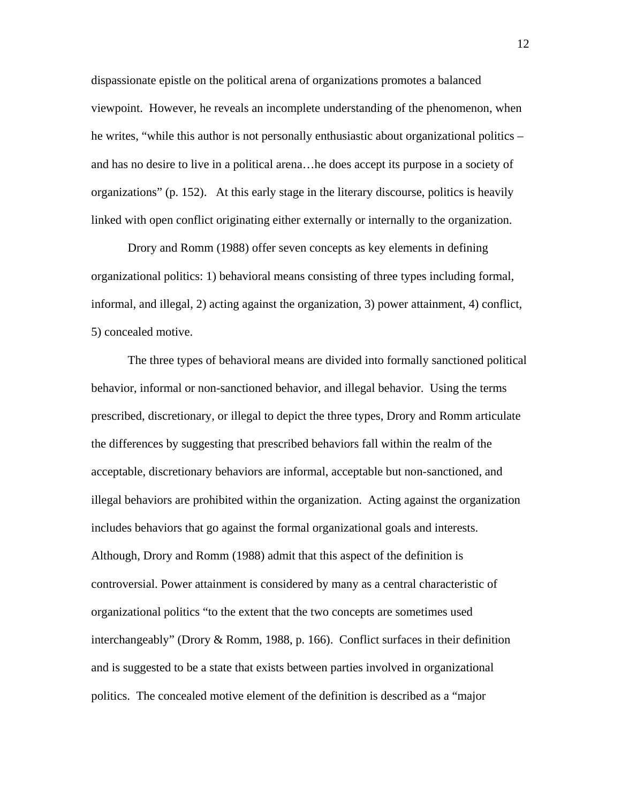dispassionate epistle on the political arena of organizations promotes a balanced viewpoint. However, he reveals an incomplete understanding of the phenomenon, when he writes, "while this author is not personally enthusiastic about organizational politics – and has no desire to live in a political arena…he does accept its purpose in a society of organizations" (p. 152). At this early stage in the literary discourse, politics is heavily linked with open conflict originating either externally or internally to the organization.

 Drory and Romm (1988) offer seven concepts as key elements in defining organizational politics: 1) behavioral means consisting of three types including formal, informal, and illegal, 2) acting against the organization, 3) power attainment, 4) conflict, 5) concealed motive.

 The three types of behavioral means are divided into formally sanctioned political behavior, informal or non-sanctioned behavior, and illegal behavior. Using the terms prescribed, discretionary, or illegal to depict the three types, Drory and Romm articulate the differences by suggesting that prescribed behaviors fall within the realm of the acceptable, discretionary behaviors are informal, acceptable but non-sanctioned, and illegal behaviors are prohibited within the organization. Acting against the organization includes behaviors that go against the formal organizational goals and interests. Although, Drory and Romm (1988) admit that this aspect of the definition is controversial. Power attainment is considered by many as a central characteristic of organizational politics "to the extent that the two concepts are sometimes used interchangeably" (Drory & Romm, 1988, p. 166). Conflict surfaces in their definition and is suggested to be a state that exists between parties involved in organizational politics. The concealed motive element of the definition is described as a "major

12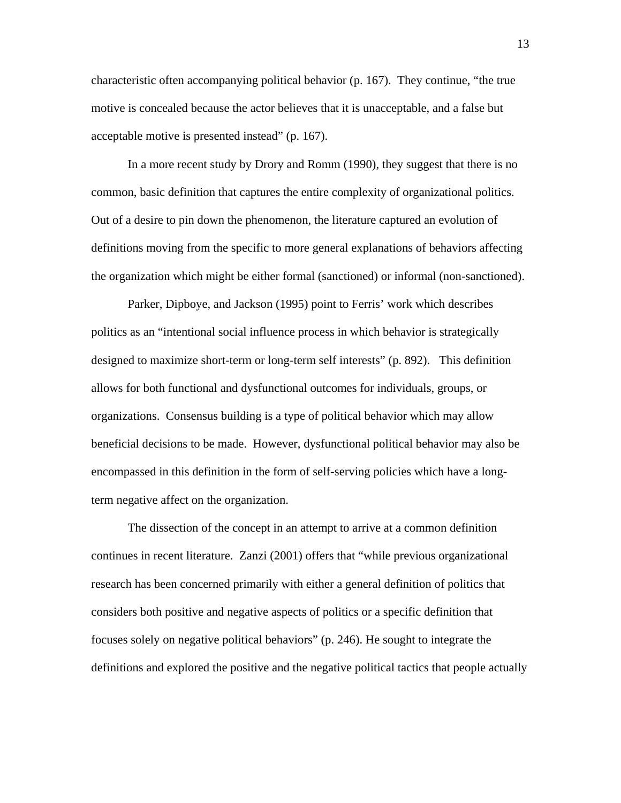characteristic often accompanying political behavior (p. 167). They continue, "the true motive is concealed because the actor believes that it is unacceptable, and a false but acceptable motive is presented instead" (p. 167).

In a more recent study by Drory and Romm (1990), they suggest that there is no common, basic definition that captures the entire complexity of organizational politics. Out of a desire to pin down the phenomenon, the literature captured an evolution of definitions moving from the specific to more general explanations of behaviors affecting the organization which might be either formal (sanctioned) or informal (non-sanctioned).

Parker, Dipboye, and Jackson (1995) point to Ferris' work which describes politics as an "intentional social influence process in which behavior is strategically designed to maximize short-term or long-term self interests" (p. 892). This definition allows for both functional and dysfunctional outcomes for individuals, groups, or organizations. Consensus building is a type of political behavior which may allow beneficial decisions to be made. However, dysfunctional political behavior may also be encompassed in this definition in the form of self-serving policies which have a longterm negative affect on the organization.

 The dissection of the concept in an attempt to arrive at a common definition continues in recent literature. Zanzi (2001) offers that "while previous organizational research has been concerned primarily with either a general definition of politics that considers both positive and negative aspects of politics or a specific definition that focuses solely on negative political behaviors" (p. 246). He sought to integrate the definitions and explored the positive and the negative political tactics that people actually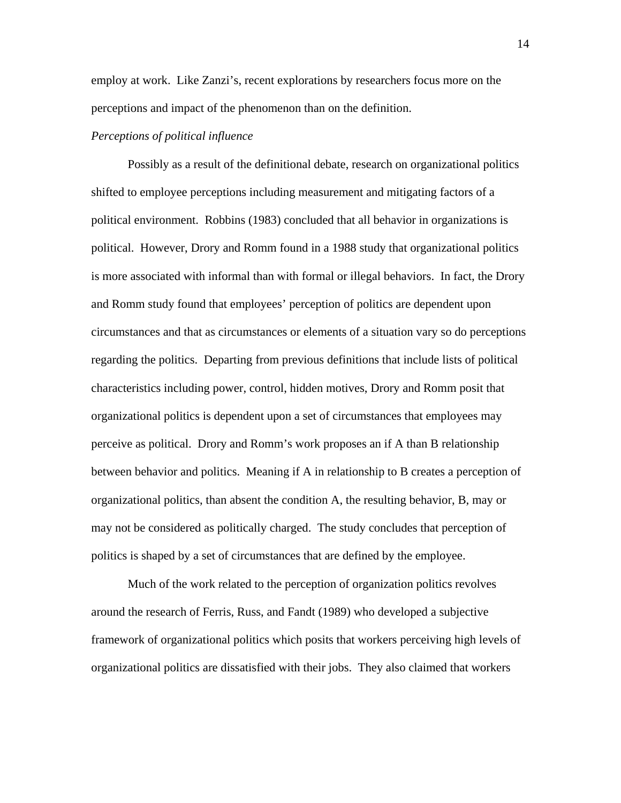employ at work. Like Zanzi's, recent explorations by researchers focus more on the perceptions and impact of the phenomenon than on the definition.

#### *Perceptions of political influence*

 Possibly as a result of the definitional debate, research on organizational politics shifted to employee perceptions including measurement and mitigating factors of a political environment. Robbins (1983) concluded that all behavior in organizations is political. However, Drory and Romm found in a 1988 study that organizational politics is more associated with informal than with formal or illegal behaviors. In fact, the Drory and Romm study found that employees' perception of politics are dependent upon circumstances and that as circumstances or elements of a situation vary so do perceptions regarding the politics. Departing from previous definitions that include lists of political characteristics including power, control, hidden motives, Drory and Romm posit that organizational politics is dependent upon a set of circumstances that employees may perceive as political. Drory and Romm's work proposes an if A than B relationship between behavior and politics. Meaning if A in relationship to B creates a perception of organizational politics, than absent the condition A, the resulting behavior, B, may or may not be considered as politically charged. The study concludes that perception of politics is shaped by a set of circumstances that are defined by the employee.

 Much of the work related to the perception of organization politics revolves around the research of Ferris, Russ, and Fandt (1989) who developed a subjective framework of organizational politics which posits that workers perceiving high levels of organizational politics are dissatisfied with their jobs. They also claimed that workers

14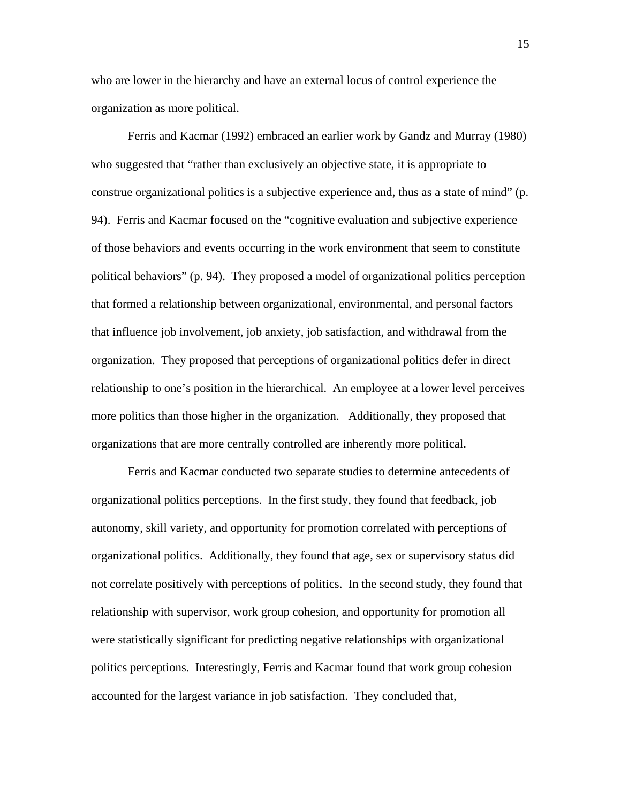who are lower in the hierarchy and have an external locus of control experience the organization as more political.

 Ferris and Kacmar (1992) embraced an earlier work by Gandz and Murray (1980) who suggested that "rather than exclusively an objective state, it is appropriate to construe organizational politics is a subjective experience and, thus as a state of mind" (p. 94). Ferris and Kacmar focused on the "cognitive evaluation and subjective experience of those behaviors and events occurring in the work environment that seem to constitute political behaviors" (p. 94). They proposed a model of organizational politics perception that formed a relationship between organizational, environmental, and personal factors that influence job involvement, job anxiety, job satisfaction, and withdrawal from the organization. They proposed that perceptions of organizational politics defer in direct relationship to one's position in the hierarchical. An employee at a lower level perceives more politics than those higher in the organization. Additionally, they proposed that organizations that are more centrally controlled are inherently more political.

 Ferris and Kacmar conducted two separate studies to determine antecedents of organizational politics perceptions. In the first study, they found that feedback, job autonomy, skill variety, and opportunity for promotion correlated with perceptions of organizational politics. Additionally, they found that age, sex or supervisory status did not correlate positively with perceptions of politics. In the second study, they found that relationship with supervisor, work group cohesion, and opportunity for promotion all were statistically significant for predicting negative relationships with organizational politics perceptions. Interestingly, Ferris and Kacmar found that work group cohesion accounted for the largest variance in job satisfaction. They concluded that,

15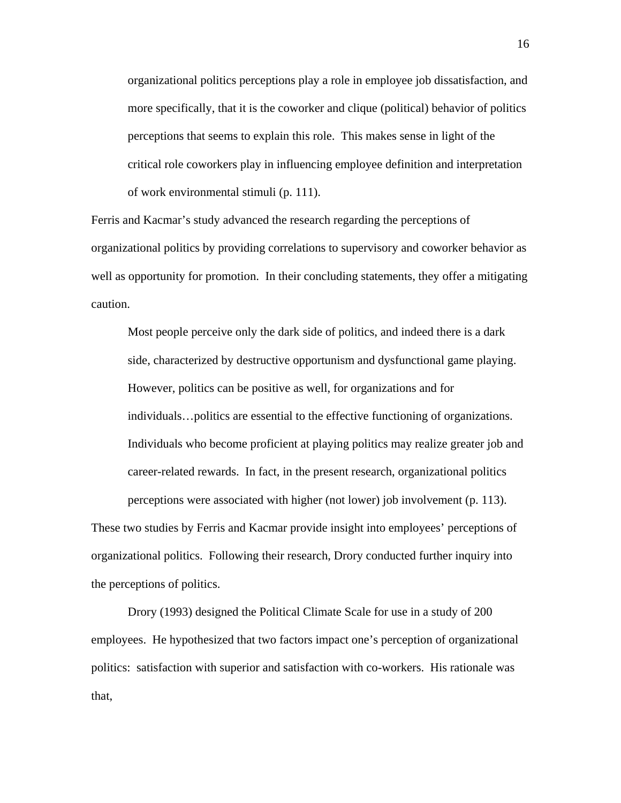organizational politics perceptions play a role in employee job dissatisfaction, and more specifically, that it is the coworker and clique (political) behavior of politics perceptions that seems to explain this role. This makes sense in light of the critical role coworkers play in influencing employee definition and interpretation of work environmental stimuli (p. 111).

Ferris and Kacmar's study advanced the research regarding the perceptions of organizational politics by providing correlations to supervisory and coworker behavior as well as opportunity for promotion. In their concluding statements, they offer a mitigating caution.

Most people perceive only the dark side of politics, and indeed there is a dark side, characterized by destructive opportunism and dysfunctional game playing. However, politics can be positive as well, for organizations and for individuals…politics are essential to the effective functioning of organizations. Individuals who become proficient at playing politics may realize greater job and career-related rewards. In fact, in the present research, organizational politics perceptions were associated with higher (not lower) job involvement (p. 113).

These two studies by Ferris and Kacmar provide insight into employees' perceptions of organizational politics. Following their research, Drory conducted further inquiry into the perceptions of politics.

 Drory (1993) designed the Political Climate Scale for use in a study of 200 employees. He hypothesized that two factors impact one's perception of organizational politics: satisfaction with superior and satisfaction with co-workers. His rationale was that,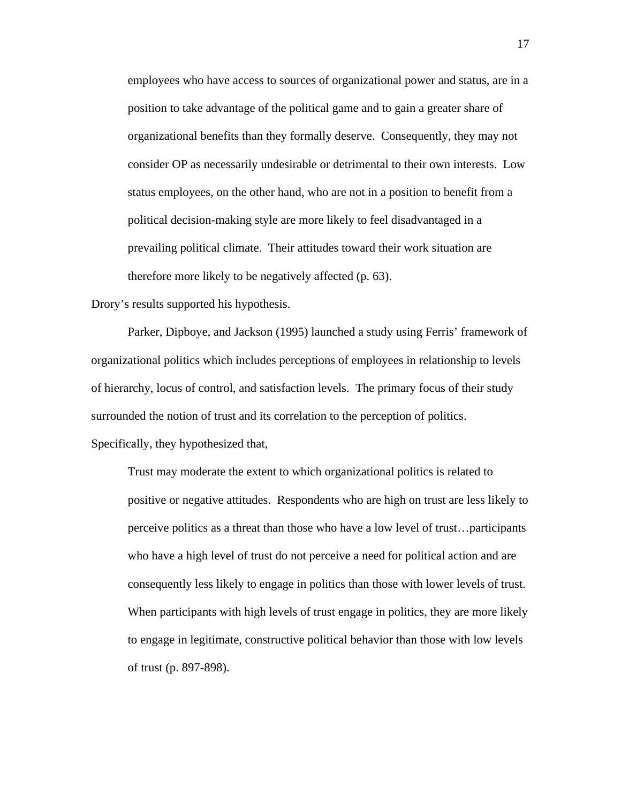employees who have access to sources of organizational power and status, are in a position to take advantage of the political game and to gain a greater share of organizational benefits than they formally deserve. Consequently, they may not consider OP as necessarily undesirable or detrimental to their own interests. Low status employees, on the other hand, who are not in a position to benefit from a political decision-making style are more likely to feel disadvantaged in a prevailing political climate. Their attitudes toward their work situation are therefore more likely to be negatively affected (p. 63).

Drory's results supported his hypothesis.

 Parker, Dipboye, and Jackson (1995) launched a study using Ferris' framework of organizational politics which includes perceptions of employees in relationship to levels of hierarchy, locus of control, and satisfaction levels. The primary focus of their study surrounded the notion of trust and its correlation to the perception of politics. Specifically, they hypothesized that,

Trust may moderate the extent to which organizational politics is related to positive or negative attitudes. Respondents who are high on trust are less likely to perceive politics as a threat than those who have a low level of trust…participants who have a high level of trust do not perceive a need for political action and are consequently less likely to engage in politics than those with lower levels of trust. When participants with high levels of trust engage in politics, they are more likely to engage in legitimate, constructive political behavior than those with low levels of trust (p. 897-898).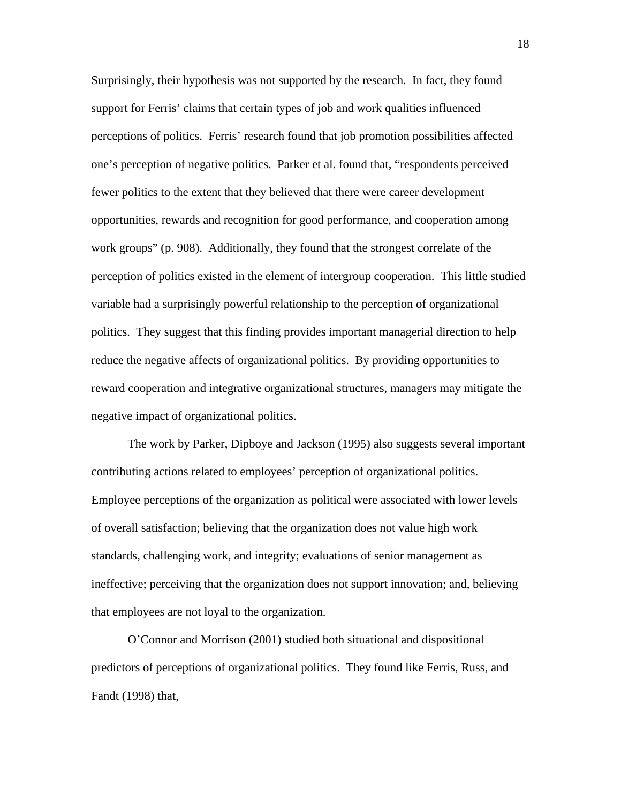Surprisingly, their hypothesis was not supported by the research. In fact, they found support for Ferris' claims that certain types of job and work qualities influenced perceptions of politics. Ferris' research found that job promotion possibilities affected one's perception of negative politics. Parker et al. found that, "respondents perceived fewer politics to the extent that they believed that there were career development opportunities, rewards and recognition for good performance, and cooperation among work groups" (p. 908). Additionally, they found that the strongest correlate of the perception of politics existed in the element of intergroup cooperation. This little studied variable had a surprisingly powerful relationship to the perception of organizational politics. They suggest that this finding provides important managerial direction to help reduce the negative affects of organizational politics. By providing opportunities to reward cooperation and integrative organizational structures, managers may mitigate the negative impact of organizational politics.

 The work by Parker, Dipboye and Jackson (1995) also suggests several important contributing actions related to employees' perception of organizational politics. Employee perceptions of the organization as political were associated with lower levels of overall satisfaction; believing that the organization does not value high work standards, challenging work, and integrity; evaluations of senior management as ineffective; perceiving that the organization does not support innovation; and, believing that employees are not loyal to the organization.

 O'Connor and Morrison (2001) studied both situational and dispositional predictors of perceptions of organizational politics. They found like Ferris, Russ, and Fandt (1998) that,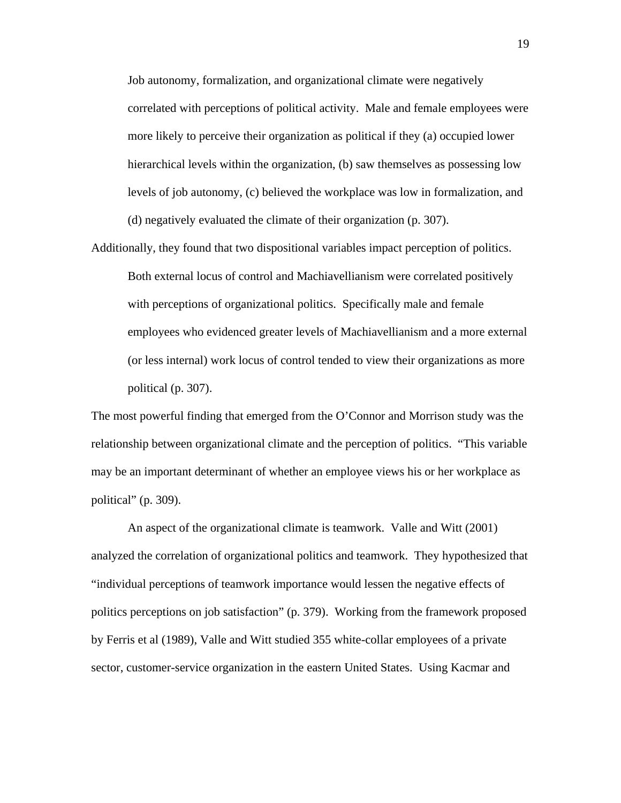Job autonomy, formalization, and organizational climate were negatively correlated with perceptions of political activity. Male and female employees were more likely to perceive their organization as political if they (a) occupied lower hierarchical levels within the organization, (b) saw themselves as possessing low levels of job autonomy, (c) believed the workplace was low in formalization, and (d) negatively evaluated the climate of their organization (p. 307).

Additionally, they found that two dispositional variables impact perception of politics. Both external locus of control and Machiavellianism were correlated positively with perceptions of organizational politics. Specifically male and female employees who evidenced greater levels of Machiavellianism and a more external (or less internal) work locus of control tended to view their organizations as more political (p. 307).

The most powerful finding that emerged from the O'Connor and Morrison study was the relationship between organizational climate and the perception of politics. "This variable may be an important determinant of whether an employee views his or her workplace as political" (p. 309).

 An aspect of the organizational climate is teamwork. Valle and Witt (2001) analyzed the correlation of organizational politics and teamwork. They hypothesized that "individual perceptions of teamwork importance would lessen the negative effects of politics perceptions on job satisfaction" (p. 379). Working from the framework proposed by Ferris et al (1989), Valle and Witt studied 355 white-collar employees of a private sector, customer-service organization in the eastern United States. Using Kacmar and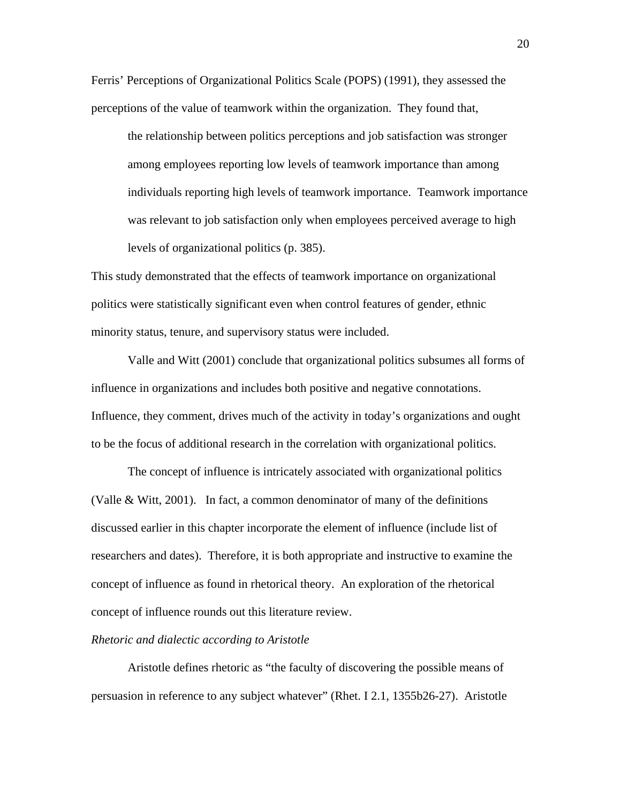Ferris' Perceptions of Organizational Politics Scale (POPS) (1991), they assessed the perceptions of the value of teamwork within the organization. They found that,

the relationship between politics perceptions and job satisfaction was stronger among employees reporting low levels of teamwork importance than among individuals reporting high levels of teamwork importance. Teamwork importance was relevant to job satisfaction only when employees perceived average to high levels of organizational politics (p. 385).

This study demonstrated that the effects of teamwork importance on organizational politics were statistically significant even when control features of gender, ethnic minority status, tenure, and supervisory status were included.

 Valle and Witt (2001) conclude that organizational politics subsumes all forms of influence in organizations and includes both positive and negative connotations. Influence, they comment, drives much of the activity in today's organizations and ought to be the focus of additional research in the correlation with organizational politics.

 The concept of influence is intricately associated with organizational politics (Valle & Witt, 2001). In fact, a common denominator of many of the definitions discussed earlier in this chapter incorporate the element of influence (include list of researchers and dates). Therefore, it is both appropriate and instructive to examine the concept of influence as found in rhetorical theory. An exploration of the rhetorical concept of influence rounds out this literature review.

#### *Rhetoric and dialectic according to Aristotle*

Aristotle defines rhetoric as "the faculty of discovering the possible means of persuasion in reference to any subject whatever" (Rhet. I 2.1, 1355b26-27). Aristotle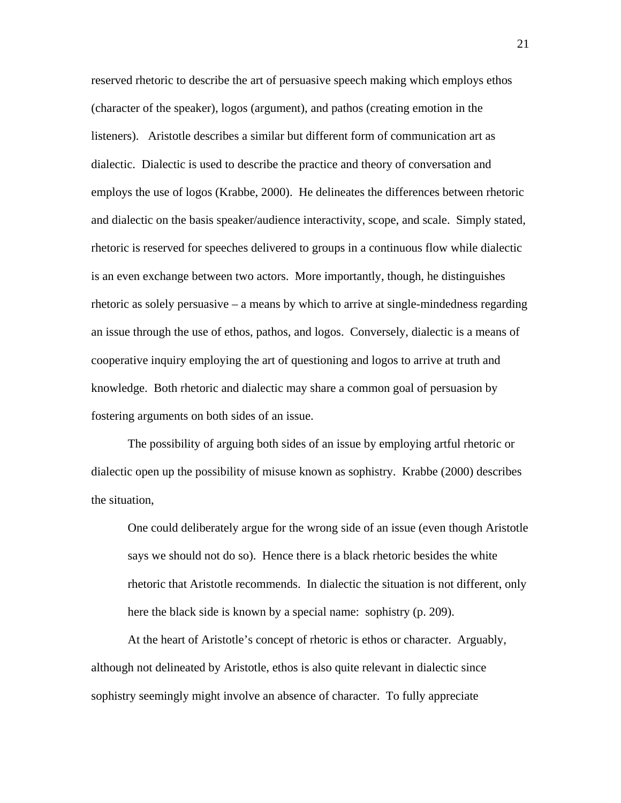reserved rhetoric to describe the art of persuasive speech making which employs ethos (character of the speaker), logos (argument), and pathos (creating emotion in the listeners). Aristotle describes a similar but different form of communication art as dialectic. Dialectic is used to describe the practice and theory of conversation and employs the use of logos (Krabbe, 2000). He delineates the differences between rhetoric and dialectic on the basis speaker/audience interactivity, scope, and scale. Simply stated, rhetoric is reserved for speeches delivered to groups in a continuous flow while dialectic is an even exchange between two actors. More importantly, though, he distinguishes rhetoric as solely persuasive – a means by which to arrive at single-mindedness regarding an issue through the use of ethos, pathos, and logos. Conversely, dialectic is a means of cooperative inquiry employing the art of questioning and logos to arrive at truth and knowledge. Both rhetoric and dialectic may share a common goal of persuasion by fostering arguments on both sides of an issue.

The possibility of arguing both sides of an issue by employing artful rhetoric or dialectic open up the possibility of misuse known as sophistry. Krabbe (2000) describes the situation,

One could deliberately argue for the wrong side of an issue (even though Aristotle says we should not do so). Hence there is a black rhetoric besides the white rhetoric that Aristotle recommends. In dialectic the situation is not different, only here the black side is known by a special name: sophistry (p. 209).

At the heart of Aristotle's concept of rhetoric is ethos or character. Arguably, although not delineated by Aristotle, ethos is also quite relevant in dialectic since sophistry seemingly might involve an absence of character. To fully appreciate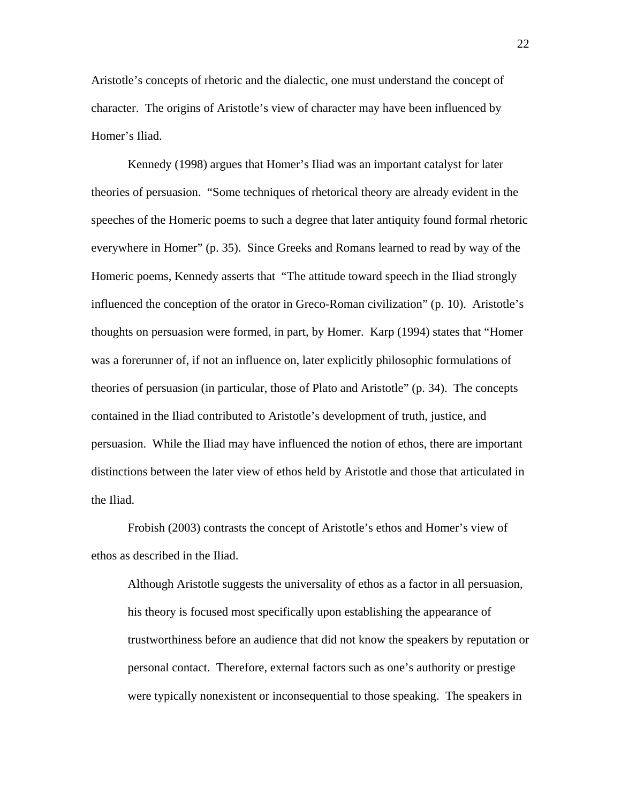Aristotle's concepts of rhetoric and the dialectic, one must understand the concept of character. The origins of Aristotle's view of character may have been influenced by Homer's Iliad.

Kennedy (1998) argues that Homer's Iliad was an important catalyst for later theories of persuasion. "Some techniques of rhetorical theory are already evident in the speeches of the Homeric poems to such a degree that later antiquity found formal rhetoric everywhere in Homer" (p. 35). Since Greeks and Romans learned to read by way of the Homeric poems, Kennedy asserts that "The attitude toward speech in the Iliad strongly influenced the conception of the orator in Greco-Roman civilization" (p. 10). Aristotle's thoughts on persuasion were formed, in part, by Homer. Karp (1994) states that "Homer was a forerunner of, if not an influence on, later explicitly philosophic formulations of theories of persuasion (in particular, those of Plato and Aristotle" (p. 34). The concepts contained in the Iliad contributed to Aristotle's development of truth, justice, and persuasion. While the Iliad may have influenced the notion of ethos, there are important distinctions between the later view of ethos held by Aristotle and those that articulated in the Iliad.

Frobish (2003) contrasts the concept of Aristotle's ethos and Homer's view of ethos as described in the Iliad.

Although Aristotle suggests the universality of ethos as a factor in all persuasion, his theory is focused most specifically upon establishing the appearance of trustworthiness before an audience that did not know the speakers by reputation or personal contact. Therefore, external factors such as one's authority or prestige were typically nonexistent or inconsequential to those speaking. The speakers in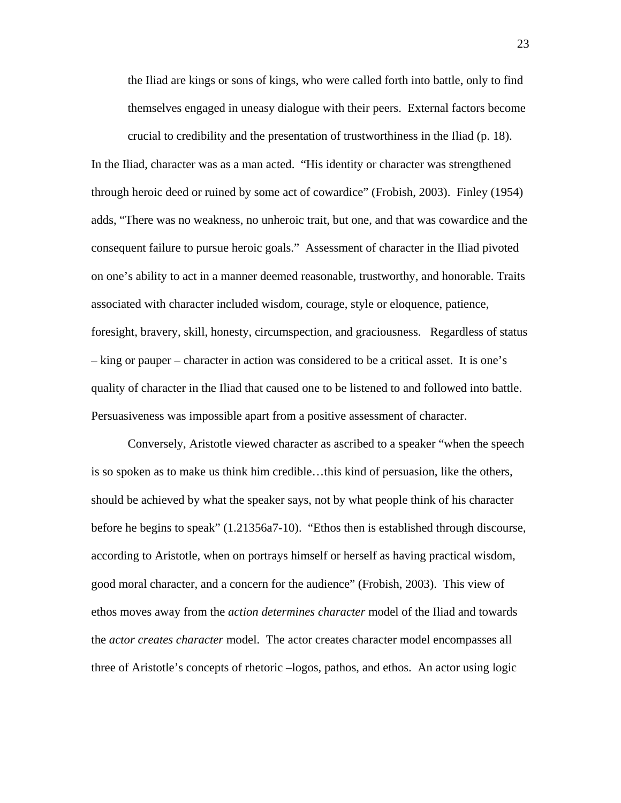the Iliad are kings or sons of kings, who were called forth into battle, only to find themselves engaged in uneasy dialogue with their peers. External factors become

crucial to credibility and the presentation of trustworthiness in the Iliad (p. 18). In the Iliad, character was as a man acted. "His identity or character was strengthened through heroic deed or ruined by some act of cowardice" (Frobish, 2003). Finley (1954) adds, "There was no weakness, no unheroic trait, but one, and that was cowardice and the consequent failure to pursue heroic goals." Assessment of character in the Iliad pivoted on one's ability to act in a manner deemed reasonable, trustworthy, and honorable. Traits associated with character included wisdom, courage, style or eloquence, patience, foresight, bravery, skill, honesty, circumspection, and graciousness. Regardless of status – king or pauper – character in action was considered to be a critical asset. It is one's quality of character in the Iliad that caused one to be listened to and followed into battle. Persuasiveness was impossible apart from a positive assessment of character.

 Conversely, Aristotle viewed character as ascribed to a speaker "when the speech is so spoken as to make us think him credible…this kind of persuasion, like the others, should be achieved by what the speaker says, not by what people think of his character before he begins to speak" (1.21356a7-10). "Ethos then is established through discourse, according to Aristotle, when on portrays himself or herself as having practical wisdom, good moral character, and a concern for the audience" (Frobish, 2003). This view of ethos moves away from the *action determines character* model of the Iliad and towards the *actor creates character* model. The actor creates character model encompasses all three of Aristotle's concepts of rhetoric –logos, pathos, and ethos. An actor using logic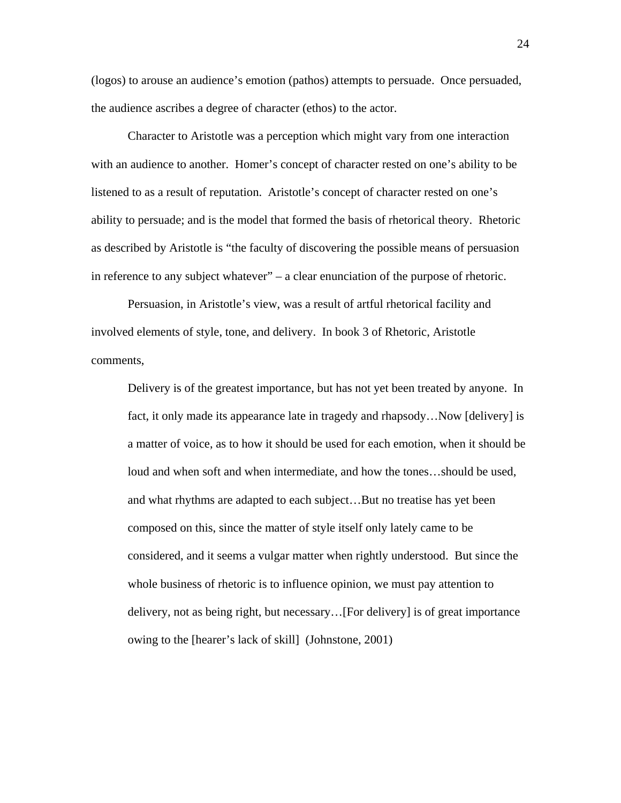(logos) to arouse an audience's emotion (pathos) attempts to persuade. Once persuaded, the audience ascribes a degree of character (ethos) to the actor.

Character to Aristotle was a perception which might vary from one interaction with an audience to another. Homer's concept of character rested on one's ability to be listened to as a result of reputation. Aristotle's concept of character rested on one's ability to persuade; and is the model that formed the basis of rhetorical theory. Rhetoric as described by Aristotle is "the faculty of discovering the possible means of persuasion in reference to any subject whatever" – a clear enunciation of the purpose of rhetoric.

Persuasion, in Aristotle's view, was a result of artful rhetorical facility and involved elements of style, tone, and delivery. In book 3 of Rhetoric, Aristotle comments,

Delivery is of the greatest importance, but has not yet been treated by anyone. In fact, it only made its appearance late in tragedy and rhapsody…Now [delivery] is a matter of voice, as to how it should be used for each emotion, when it should be loud and when soft and when intermediate, and how the tones…should be used, and what rhythms are adapted to each subject…But no treatise has yet been composed on this, since the matter of style itself only lately came to be considered, and it seems a vulgar matter when rightly understood. But since the whole business of rhetoric is to influence opinion, we must pay attention to delivery, not as being right, but necessary…[For delivery] is of great importance owing to the [hearer's lack of skill] (Johnstone, 2001)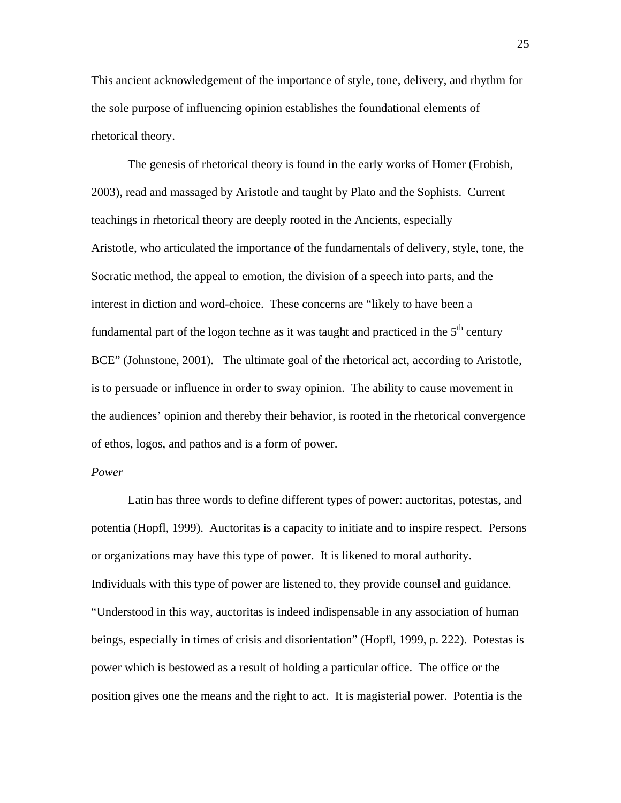This ancient acknowledgement of the importance of style, tone, delivery, and rhythm for the sole purpose of influencing opinion establishes the foundational elements of rhetorical theory.

The genesis of rhetorical theory is found in the early works of Homer (Frobish, 2003), read and massaged by Aristotle and taught by Plato and the Sophists. Current teachings in rhetorical theory are deeply rooted in the Ancients, especially Aristotle, who articulated the importance of the fundamentals of delivery, style, tone, the Socratic method, the appeal to emotion, the division of a speech into parts, and the interest in diction and word-choice. These concerns are "likely to have been a fundamental part of the logon techne as it was taught and practiced in the  $5<sup>th</sup>$  century BCE" (Johnstone, 2001). The ultimate goal of the rhetorical act, according to Aristotle, is to persuade or influence in order to sway opinion. The ability to cause movement in the audiences' opinion and thereby their behavior, is rooted in the rhetorical convergence of ethos, logos, and pathos and is a form of power.

# *Power*

 Latin has three words to define different types of power: auctoritas, potestas, and potentia (Hopfl, 1999). Auctoritas is a capacity to initiate and to inspire respect. Persons or organizations may have this type of power. It is likened to moral authority. Individuals with this type of power are listened to, they provide counsel and guidance. "Understood in this way, auctoritas is indeed indispensable in any association of human beings, especially in times of crisis and disorientation" (Hopfl, 1999, p. 222). Potestas is power which is bestowed as a result of holding a particular office. The office or the position gives one the means and the right to act. It is magisterial power. Potentia is the

25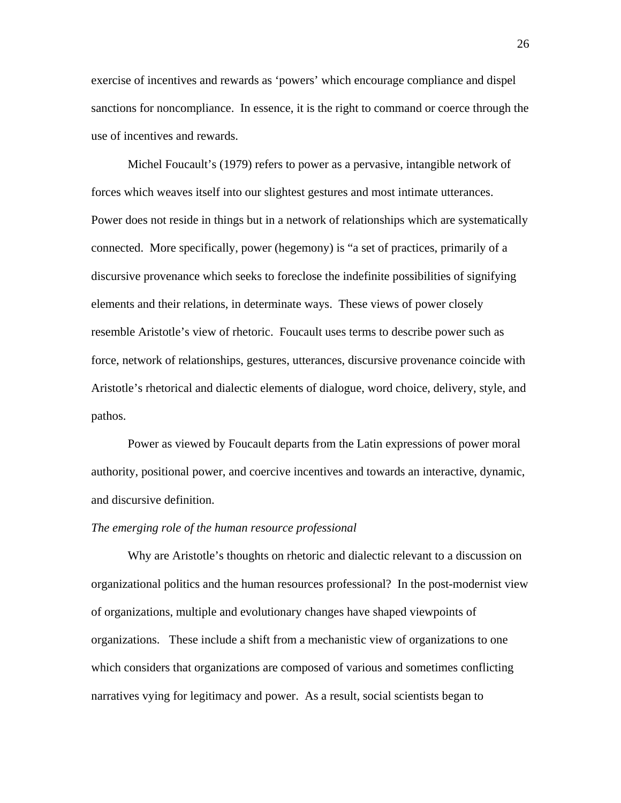exercise of incentives and rewards as 'powers' which encourage compliance and dispel sanctions for noncompliance. In essence, it is the right to command or coerce through the use of incentives and rewards.

 Michel Foucault's (1979) refers to power as a pervasive, intangible network of forces which weaves itself into our slightest gestures and most intimate utterances. Power does not reside in things but in a network of relationships which are systematically connected. More specifically, power (hegemony) is "a set of practices, primarily of a discursive provenance which seeks to foreclose the indefinite possibilities of signifying elements and their relations, in determinate ways. These views of power closely resemble Aristotle's view of rhetoric. Foucault uses terms to describe power such as force, network of relationships, gestures, utterances, discursive provenance coincide with Aristotle's rhetorical and dialectic elements of dialogue, word choice, delivery, style, and pathos.

 Power as viewed by Foucault departs from the Latin expressions of power moral authority, positional power, and coercive incentives and towards an interactive, dynamic, and discursive definition.

#### *The emerging role of the human resource professional*

 Why are Aristotle's thoughts on rhetoric and dialectic relevant to a discussion on organizational politics and the human resources professional? In the post-modernist view of organizations, multiple and evolutionary changes have shaped viewpoints of organizations. These include a shift from a mechanistic view of organizations to one which considers that organizations are composed of various and sometimes conflicting narratives vying for legitimacy and power. As a result, social scientists began to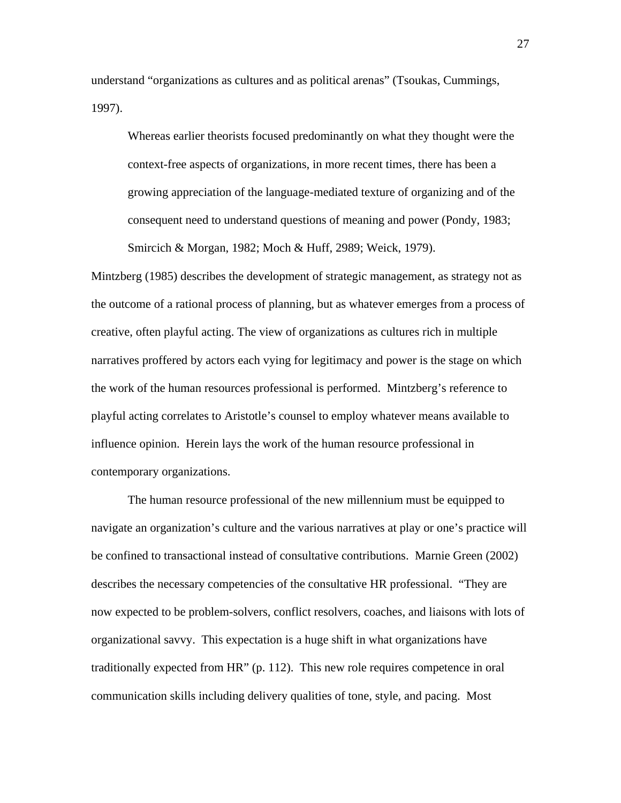understand "organizations as cultures and as political arenas" (Tsoukas, Cummings, 1997).

Whereas earlier theorists focused predominantly on what they thought were the context-free aspects of organizations, in more recent times, there has been a growing appreciation of the language-mediated texture of organizing and of the consequent need to understand questions of meaning and power (Pondy, 1983; Smircich & Morgan, 1982; Moch & Huff, 2989; Weick, 1979).

Mintzberg (1985) describes the development of strategic management, as strategy not as the outcome of a rational process of planning, but as whatever emerges from a process of creative, often playful acting. The view of organizations as cultures rich in multiple narratives proffered by actors each vying for legitimacy and power is the stage on which the work of the human resources professional is performed. Mintzberg's reference to playful acting correlates to Aristotle's counsel to employ whatever means available to influence opinion. Herein lays the work of the human resource professional in contemporary organizations.

 The human resource professional of the new millennium must be equipped to navigate an organization's culture and the various narratives at play or one's practice will be confined to transactional instead of consultative contributions. Marnie Green (2002) describes the necessary competencies of the consultative HR professional. "They are now expected to be problem-solvers, conflict resolvers, coaches, and liaisons with lots of organizational savvy. This expectation is a huge shift in what organizations have traditionally expected from HR" (p. 112). This new role requires competence in oral communication skills including delivery qualities of tone, style, and pacing. Most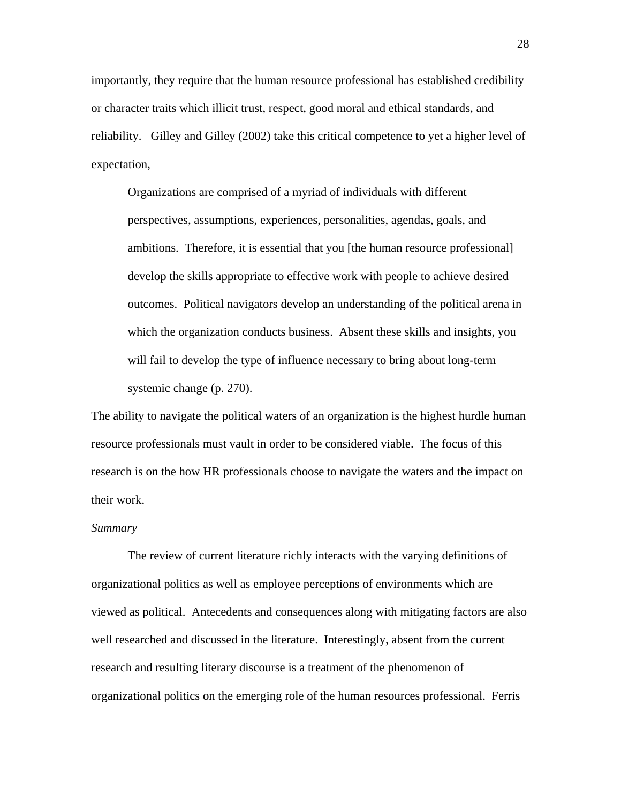importantly, they require that the human resource professional has established credibility or character traits which illicit trust, respect, good moral and ethical standards, and reliability. Gilley and Gilley (2002) take this critical competence to yet a higher level of expectation,

Organizations are comprised of a myriad of individuals with different perspectives, assumptions, experiences, personalities, agendas, goals, and ambitions. Therefore, it is essential that you [the human resource professional] develop the skills appropriate to effective work with people to achieve desired outcomes. Political navigators develop an understanding of the political arena in which the organization conducts business. Absent these skills and insights, you will fail to develop the type of influence necessary to bring about long-term systemic change (p. 270).

The ability to navigate the political waters of an organization is the highest hurdle human resource professionals must vault in order to be considered viable. The focus of this research is on the how HR professionals choose to navigate the waters and the impact on their work.

#### *Summary*

The review of current literature richly interacts with the varying definitions of organizational politics as well as employee perceptions of environments which are viewed as political. Antecedents and consequences along with mitigating factors are also well researched and discussed in the literature. Interestingly, absent from the current research and resulting literary discourse is a treatment of the phenomenon of organizational politics on the emerging role of the human resources professional. Ferris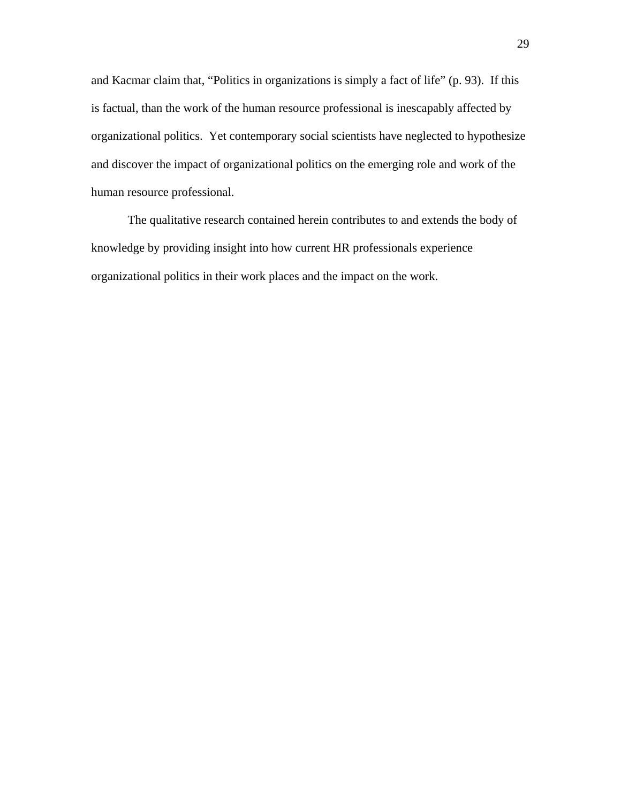and Kacmar claim that, "Politics in organizations is simply a fact of life" (p. 93). If this is factual, than the work of the human resource professional is inescapably affected by organizational politics. Yet contemporary social scientists have neglected to hypothesize and discover the impact of organizational politics on the emerging role and work of the human resource professional.

The qualitative research contained herein contributes to and extends the body of knowledge by providing insight into how current HR professionals experience organizational politics in their work places and the impact on the work.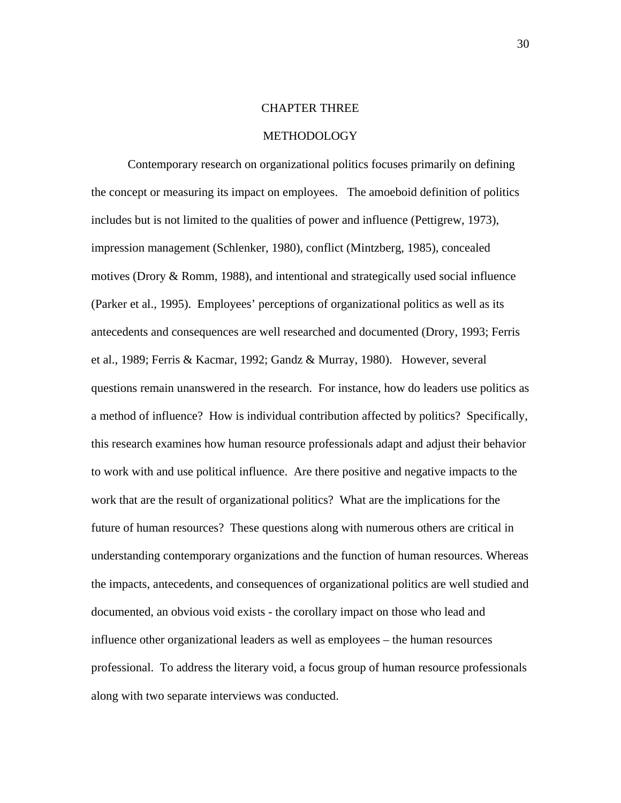# CHAPTER THREE

### **METHODOLOGY**

Contemporary research on organizational politics focuses primarily on defining the concept or measuring its impact on employees. The amoeboid definition of politics includes but is not limited to the qualities of power and influence (Pettigrew, 1973), impression management (Schlenker, 1980), conflict (Mintzberg, 1985), concealed motives (Drory & Romm, 1988), and intentional and strategically used social influence (Parker et al., 1995). Employees' perceptions of organizational politics as well as its antecedents and consequences are well researched and documented (Drory, 1993; Ferris et al., 1989; Ferris & Kacmar, 1992; Gandz & Murray, 1980). However, several questions remain unanswered in the research. For instance, how do leaders use politics as a method of influence? How is individual contribution affected by politics? Specifically, this research examines how human resource professionals adapt and adjust their behavior to work with and use political influence. Are there positive and negative impacts to the work that are the result of organizational politics? What are the implications for the future of human resources? These questions along with numerous others are critical in understanding contemporary organizations and the function of human resources. Whereas the impacts, antecedents, and consequences of organizational politics are well studied and documented, an obvious void exists - the corollary impact on those who lead and influence other organizational leaders as well as employees – the human resources professional. To address the literary void, a focus group of human resource professionals along with two separate interviews was conducted.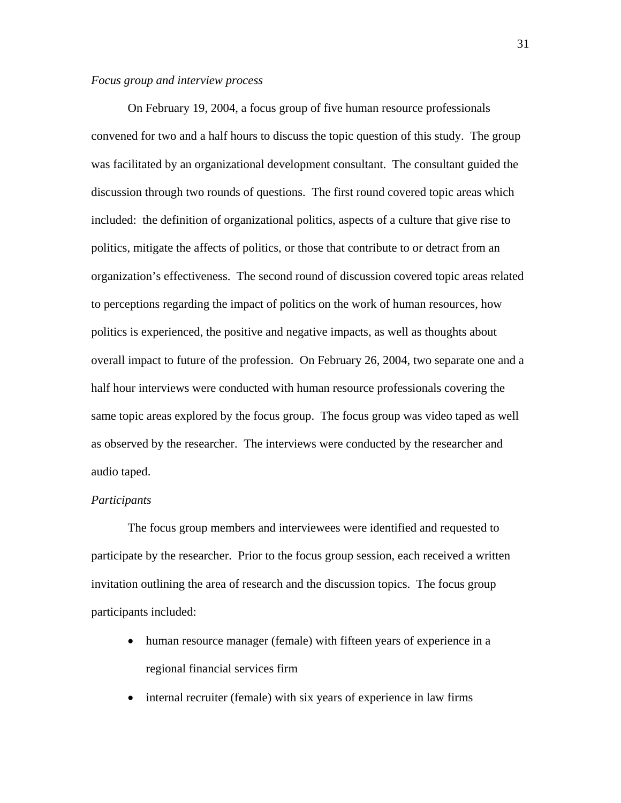#### *Focus group and interview process*

 On February 19, 2004, a focus group of five human resource professionals convened for two and a half hours to discuss the topic question of this study. The group was facilitated by an organizational development consultant. The consultant guided the discussion through two rounds of questions. The first round covered topic areas which included: the definition of organizational politics, aspects of a culture that give rise to politics, mitigate the affects of politics, or those that contribute to or detract from an organization's effectiveness. The second round of discussion covered topic areas related to perceptions regarding the impact of politics on the work of human resources, how politics is experienced, the positive and negative impacts, as well as thoughts about overall impact to future of the profession. On February 26, 2004, two separate one and a half hour interviews were conducted with human resource professionals covering the same topic areas explored by the focus group. The focus group was video taped as well as observed by the researcher. The interviews were conducted by the researcher and audio taped.

#### *Participants*

 The focus group members and interviewees were identified and requested to participate by the researcher. Prior to the focus group session, each received a written invitation outlining the area of research and the discussion topics. The focus group participants included:

- human resource manager (female) with fifteen years of experience in a regional financial services firm
- internal recruiter (female) with six years of experience in law firms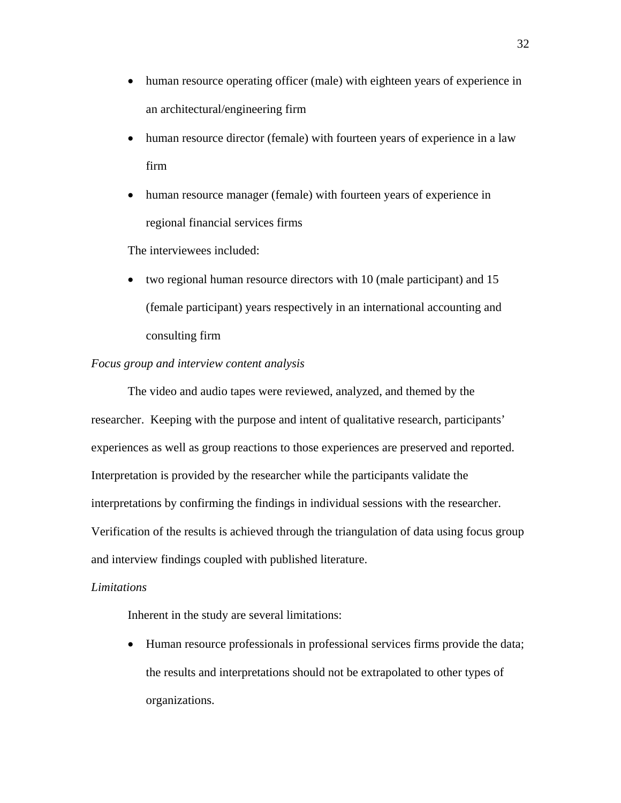- human resource operating officer (male) with eighteen years of experience in an architectural/engineering firm
- human resource director (female) with fourteen years of experience in a law firm
- human resource manager (female) with fourteen years of experience in regional financial services firms

The interviewees included:

• two regional human resource directors with 10 (male participant) and 15 (female participant) years respectively in an international accounting and consulting firm

# *Focus group and interview content analysis*

 The video and audio tapes were reviewed, analyzed, and themed by the researcher. Keeping with the purpose and intent of qualitative research, participants' experiences as well as group reactions to those experiences are preserved and reported. Interpretation is provided by the researcher while the participants validate the interpretations by confirming the findings in individual sessions with the researcher. Verification of the results is achieved through the triangulation of data using focus group and interview findings coupled with published literature.

# *Limitations*

Inherent in the study are several limitations:

• Human resource professionals in professional services firms provide the data; the results and interpretations should not be extrapolated to other types of organizations.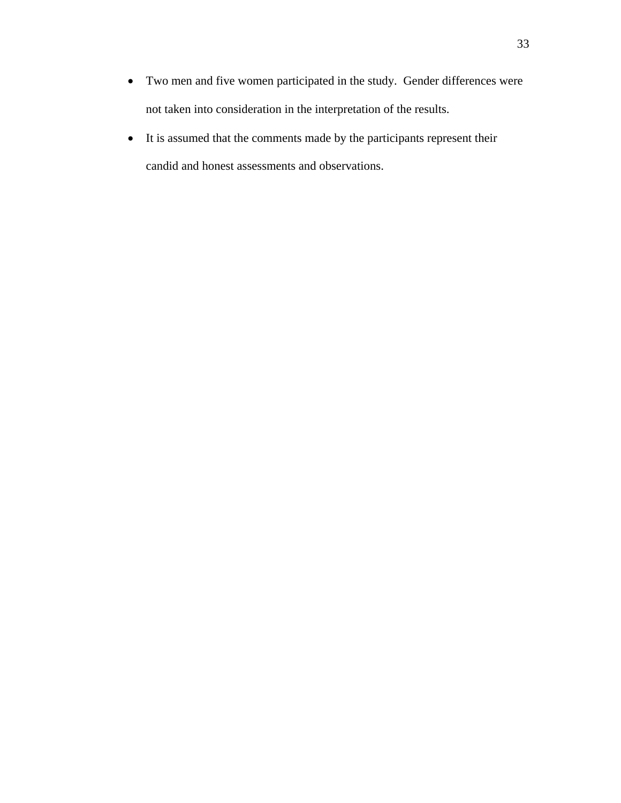- Two men and five women participated in the study. Gender differences were not taken into consideration in the interpretation of the results.
- It is assumed that the comments made by the participants represent their candid and honest assessments and observations.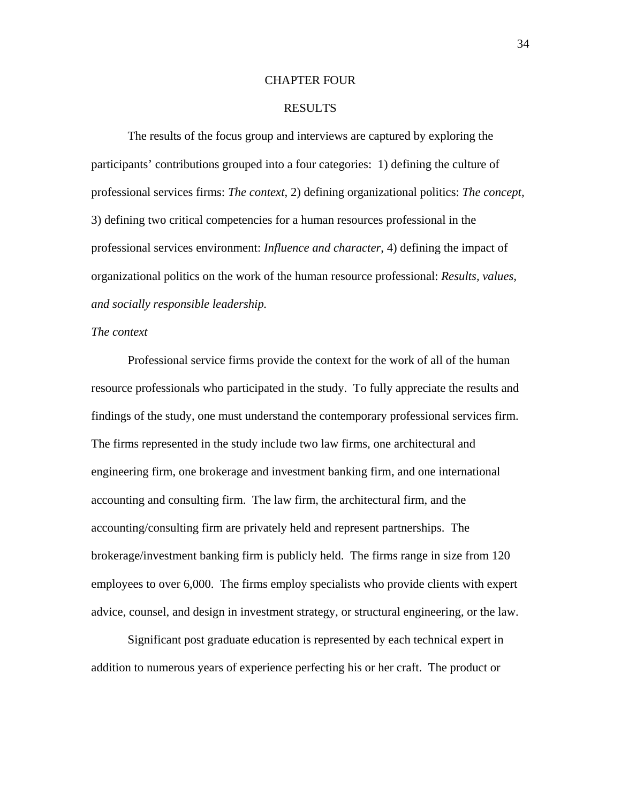## CHAPTER FOUR

## RESULTS

 The results of the focus group and interviews are captured by exploring the participants' contributions grouped into a four categories: 1) defining the culture of professional services firms: *The context*, 2) defining organizational politics: *The concept,* 3) defining two critical competencies for a human resources professional in the professional services environment: *Influence and character*, 4) defining the impact of organizational politics on the work of the human resource professional: *Results, values, and socially responsible leadership.*

# *The context*

Professional service firms provide the context for the work of all of the human resource professionals who participated in the study. To fully appreciate the results and findings of the study, one must understand the contemporary professional services firm. The firms represented in the study include two law firms, one architectural and engineering firm, one brokerage and investment banking firm, and one international accounting and consulting firm. The law firm, the architectural firm, and the accounting/consulting firm are privately held and represent partnerships. The brokerage/investment banking firm is publicly held. The firms range in size from 120 employees to over 6,000. The firms employ specialists who provide clients with expert advice, counsel, and design in investment strategy, or structural engineering, or the law.

Significant post graduate education is represented by each technical expert in addition to numerous years of experience perfecting his or her craft. The product or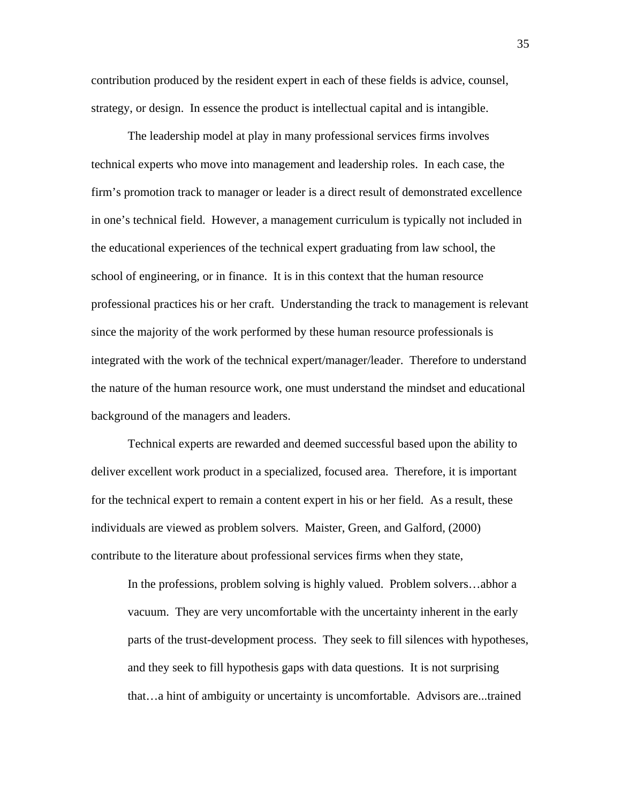contribution produced by the resident expert in each of these fields is advice, counsel, strategy, or design. In essence the product is intellectual capital and is intangible.

The leadership model at play in many professional services firms involves technical experts who move into management and leadership roles. In each case, the firm's promotion track to manager or leader is a direct result of demonstrated excellence in one's technical field. However, a management curriculum is typically not included in the educational experiences of the technical expert graduating from law school, the school of engineering, or in finance. It is in this context that the human resource professional practices his or her craft. Understanding the track to management is relevant since the majority of the work performed by these human resource professionals is integrated with the work of the technical expert/manager/leader. Therefore to understand the nature of the human resource work, one must understand the mindset and educational background of the managers and leaders.

Technical experts are rewarded and deemed successful based upon the ability to deliver excellent work product in a specialized, focused area. Therefore, it is important for the technical expert to remain a content expert in his or her field. As a result, these individuals are viewed as problem solvers. Maister, Green, and Galford, (2000) contribute to the literature about professional services firms when they state,

In the professions, problem solving is highly valued. Problem solvers…abhor a vacuum. They are very uncomfortable with the uncertainty inherent in the early parts of the trust-development process. They seek to fill silences with hypotheses, and they seek to fill hypothesis gaps with data questions. It is not surprising that…a hint of ambiguity or uncertainty is uncomfortable. Advisors are...trained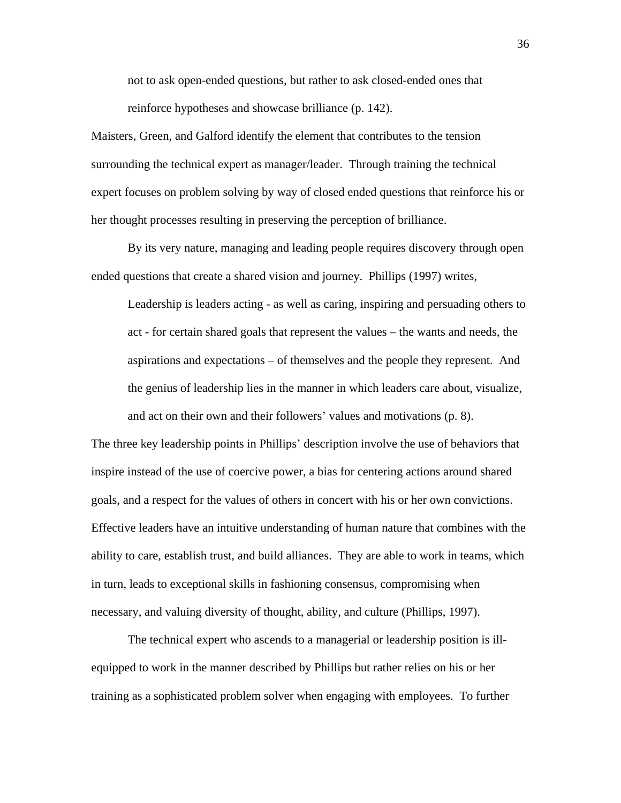not to ask open-ended questions, but rather to ask closed-ended ones that reinforce hypotheses and showcase brilliance (p. 142).

Maisters, Green, and Galford identify the element that contributes to the tension surrounding the technical expert as manager/leader. Through training the technical expert focuses on problem solving by way of closed ended questions that reinforce his or her thought processes resulting in preserving the perception of brilliance.

By its very nature, managing and leading people requires discovery through open ended questions that create a shared vision and journey. Phillips (1997) writes,

Leadership is leaders acting - as well as caring, inspiring and persuading others to act - for certain shared goals that represent the values – the wants and needs, the aspirations and expectations – of themselves and the people they represent. And the genius of leadership lies in the manner in which leaders care about, visualize, and act on their own and their followers' values and motivations (p. 8).

The three key leadership points in Phillips' description involve the use of behaviors that inspire instead of the use of coercive power, a bias for centering actions around shared goals, and a respect for the values of others in concert with his or her own convictions. Effective leaders have an intuitive understanding of human nature that combines with the ability to care, establish trust, and build alliances. They are able to work in teams, which in turn, leads to exceptional skills in fashioning consensus, compromising when necessary, and valuing diversity of thought, ability, and culture (Phillips, 1997).

 The technical expert who ascends to a managerial or leadership position is illequipped to work in the manner described by Phillips but rather relies on his or her training as a sophisticated problem solver when engaging with employees. To further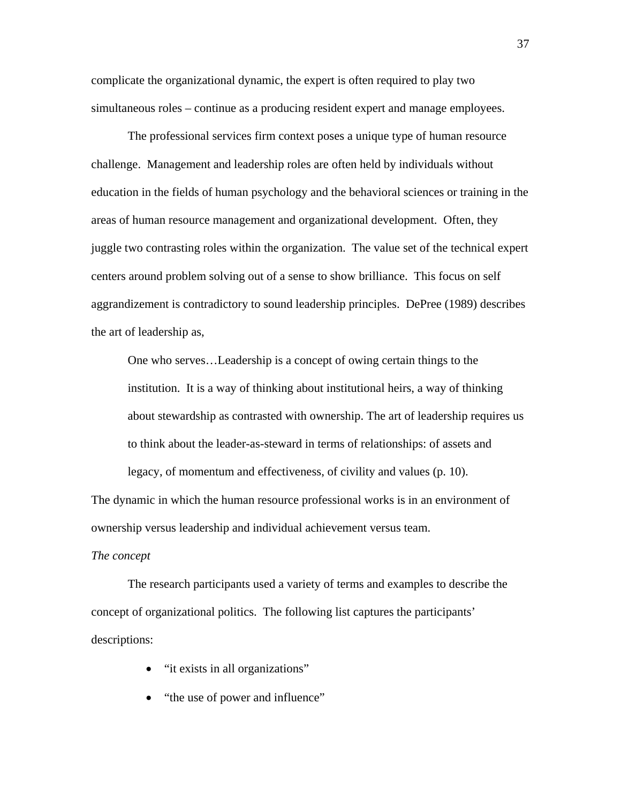complicate the organizational dynamic, the expert is often required to play two simultaneous roles – continue as a producing resident expert and manage employees.

 The professional services firm context poses a unique type of human resource challenge. Management and leadership roles are often held by individuals without education in the fields of human psychology and the behavioral sciences or training in the areas of human resource management and organizational development. Often, they juggle two contrasting roles within the organization. The value set of the technical expert centers around problem solving out of a sense to show brilliance. This focus on self aggrandizement is contradictory to sound leadership principles. DePree (1989) describes the art of leadership as,

One who serves…Leadership is a concept of owing certain things to the institution. It is a way of thinking about institutional heirs, a way of thinking about stewardship as contrasted with ownership. The art of leadership requires us to think about the leader-as-steward in terms of relationships: of assets and legacy, of momentum and effectiveness, of civility and values (p. 10).

The dynamic in which the human resource professional works is in an environment of

ownership versus leadership and individual achievement versus team.

#### *The concept*

The research participants used a variety of terms and examples to describe the concept of organizational politics. The following list captures the participants' descriptions:

- "it exists in all organizations"
- "the use of power and influence"

37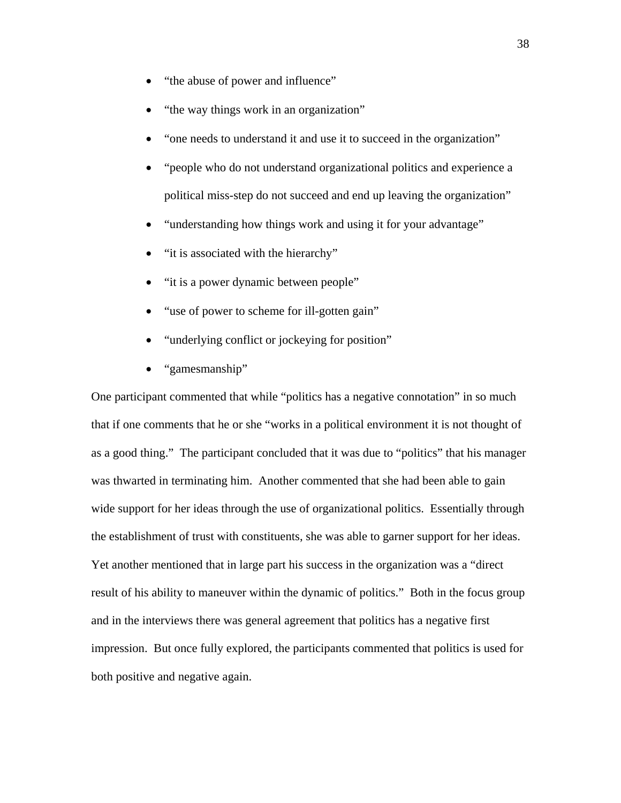- "the abuse of power and influence"
- "the way things work in an organization"
- "one needs to understand it and use it to succeed in the organization"
- "people who do not understand organizational politics and experience a political miss-step do not succeed and end up leaving the organization"
- "understanding how things work and using it for your advantage"
- "it is associated with the hierarchy"
- "it is a power dynamic between people"
- "use of power to scheme for ill-gotten gain"
- "underlying conflict or jockeying for position"
- "gamesmanship"

One participant commented that while "politics has a negative connotation" in so much that if one comments that he or she "works in a political environment it is not thought of as a good thing." The participant concluded that it was due to "politics" that his manager was thwarted in terminating him. Another commented that she had been able to gain wide support for her ideas through the use of organizational politics. Essentially through the establishment of trust with constituents, she was able to garner support for her ideas. Yet another mentioned that in large part his success in the organization was a "direct result of his ability to maneuver within the dynamic of politics." Both in the focus group and in the interviews there was general agreement that politics has a negative first impression. But once fully explored, the participants commented that politics is used for both positive and negative again.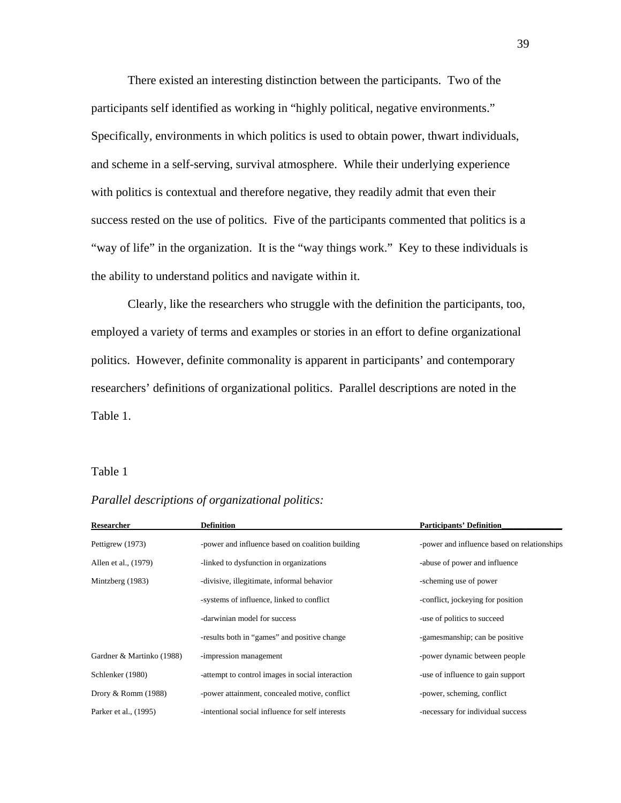There existed an interesting distinction between the participants. Two of the participants self identified as working in "highly political, negative environments." Specifically, environments in which politics is used to obtain power, thwart individuals, and scheme in a self-serving, survival atmosphere. While their underlying experience with politics is contextual and therefore negative, they readily admit that even their success rested on the use of politics. Five of the participants commented that politics is a "way of life" in the organization. It is the "way things work." Key to these individuals is the ability to understand politics and navigate within it.

 Clearly, like the researchers who struggle with the definition the participants, too, employed a variety of terms and examples or stories in an effort to define organizational politics. However, definite commonality is apparent in participants' and contemporary researchers' definitions of organizational politics. Parallel descriptions are noted in the Table 1.

### Table 1

| Researcher                | <b>Definition</b>                                | <b>Participants' Definition</b>             |
|---------------------------|--------------------------------------------------|---------------------------------------------|
| Pettigrew (1973)          | -power and influence based on coalition building | -power and influence based on relationships |
| Allen et al., (1979)      | -linked to dysfunction in organizations          | -abuse of power and influence               |
| Mintzberg (1983)          | -divisive, illegitimate, informal behavior       | -scheming use of power                      |
|                           | -systems of influence, linked to conflict        | -conflict, jockeying for position           |
|                           | -darwinian model for success                     | -use of politics to succeed                 |
|                           | -results both in "games" and positive change     | -gamesmanship; can be positive              |
| Gardner & Martinko (1988) | -impression management                           | -power dynamic between people               |
| Schlenker (1980)          | -attempt to control images in social interaction | -use of influence to gain support           |
| Drory & Romm (1988)       | -power attainment, concealed motive, conflict    | -power, scheming, conflict                  |
| Parker et al., (1995)     | -intentional social influence for self interests | -necessary for individual success           |

### *Parallel descriptions of organizational politics:*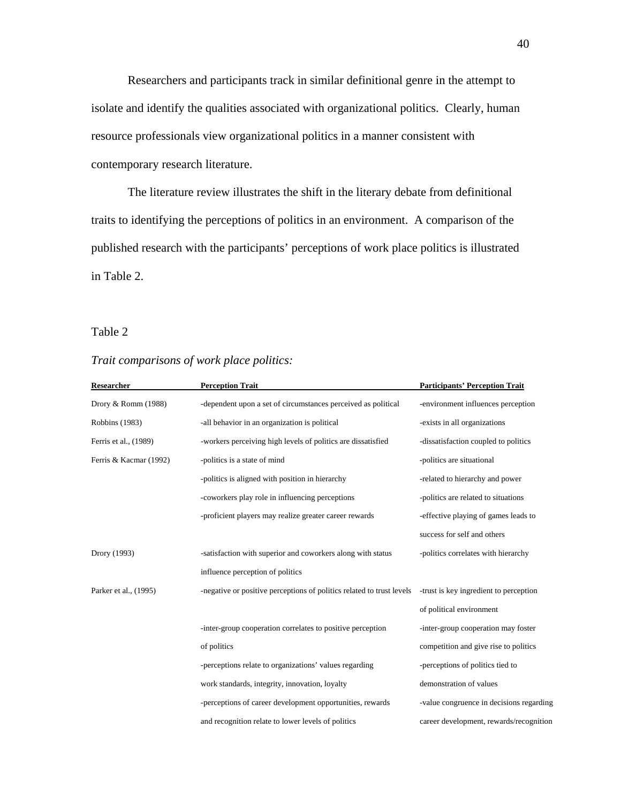Researchers and participants track in similar definitional genre in the attempt to isolate and identify the qualities associated with organizational politics. Clearly, human resource professionals view organizational politics in a manner consistent with contemporary research literature.

The literature review illustrates the shift in the literary debate from definitional traits to identifying the perceptions of politics in an environment. A comparison of the published research with the participants' perceptions of work place politics is illustrated in Table 2.

# Table 2

# *Trait comparisons of work place politics:*

| Researcher             | <b>Perception Trait</b>                                                                                      | <b>Participants' Perception Trait</b>    |
|------------------------|--------------------------------------------------------------------------------------------------------------|------------------------------------------|
| Drory & Romm (1988)    | -dependent upon a set of circumstances perceived as political                                                | -environment influences perception       |
| <b>Robbins</b> (1983)  | -all behavior in an organization is political                                                                | -exists in all organizations             |
| Ferris et al., (1989)  | -workers perceiving high levels of politics are dissatisfied                                                 | -dissatisfaction coupled to politics     |
| Ferris & Kacmar (1992) | -politics is a state of mind                                                                                 | -politics are situational                |
|                        | -politics is aligned with position in hierarchy                                                              | -related to hierarchy and power          |
|                        | -coworkers play role in influencing perceptions                                                              | -politics are related to situations      |
|                        | -proficient players may realize greater career rewards                                                       | -effective playing of games leads to     |
|                        |                                                                                                              | success for self and others              |
| Drory (1993)           | -satisfaction with superior and coworkers along with status                                                  | -politics correlates with hierarchy      |
|                        | influence perception of politics                                                                             |                                          |
| Parker et al., (1995)  | -negative or positive perceptions of politics related to trust levels -trust is key ingredient to perception |                                          |
|                        |                                                                                                              | of political environment                 |
|                        | -inter-group cooperation correlates to positive perception                                                   | -inter-group cooperation may foster      |
|                        | of politics                                                                                                  | competition and give rise to politics    |
|                        | -perceptions relate to organizations' values regarding                                                       | -perceptions of politics tied to         |
|                        | work standards, integrity, innovation, loyalty                                                               | demonstration of values                  |
|                        | -perceptions of career development opportunities, rewards                                                    | -value congruence in decisions regarding |
|                        | and recognition relate to lower levels of politics                                                           | career development, rewards/recognition  |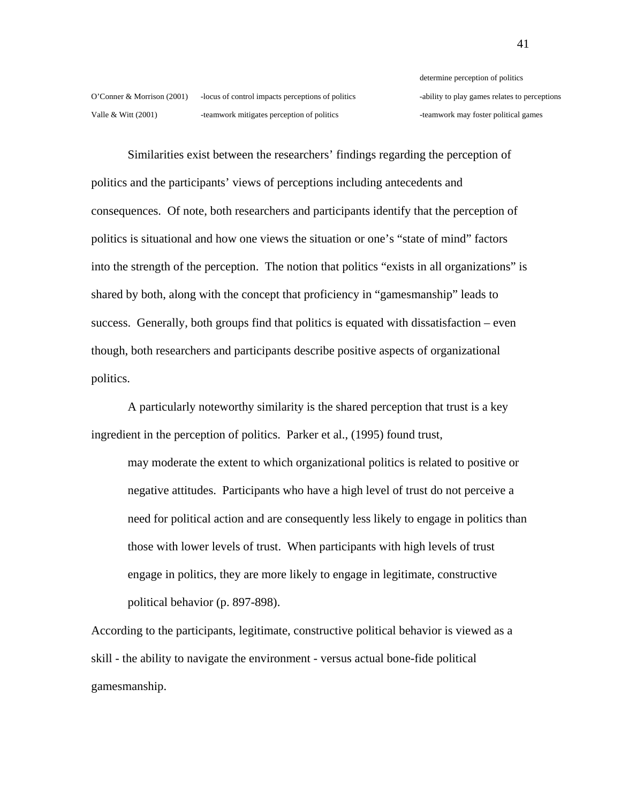determine perception of politics

Similarities exist between the researchers' findings regarding the perception of politics and the participants' views of perceptions including antecedents and consequences. Of note, both researchers and participants identify that the perception of politics is situational and how one views the situation or one's "state of mind" factors into the strength of the perception. The notion that politics "exists in all organizations" is shared by both, along with the concept that proficiency in "gamesmanship" leads to success. Generally, both groups find that politics is equated with dissatisfaction – even though, both researchers and participants describe positive aspects of organizational politics.

A particularly noteworthy similarity is the shared perception that trust is a key ingredient in the perception of politics. Parker et al., (1995) found trust,

may moderate the extent to which organizational politics is related to positive or negative attitudes. Participants who have a high level of trust do not perceive a need for political action and are consequently less likely to engage in politics than those with lower levels of trust. When participants with high levels of trust engage in politics, they are more likely to engage in legitimate, constructive political behavior (p. 897-898).

According to the participants, legitimate, constructive political behavior is viewed as a skill - the ability to navigate the environment - versus actual bone-fide political gamesmanship.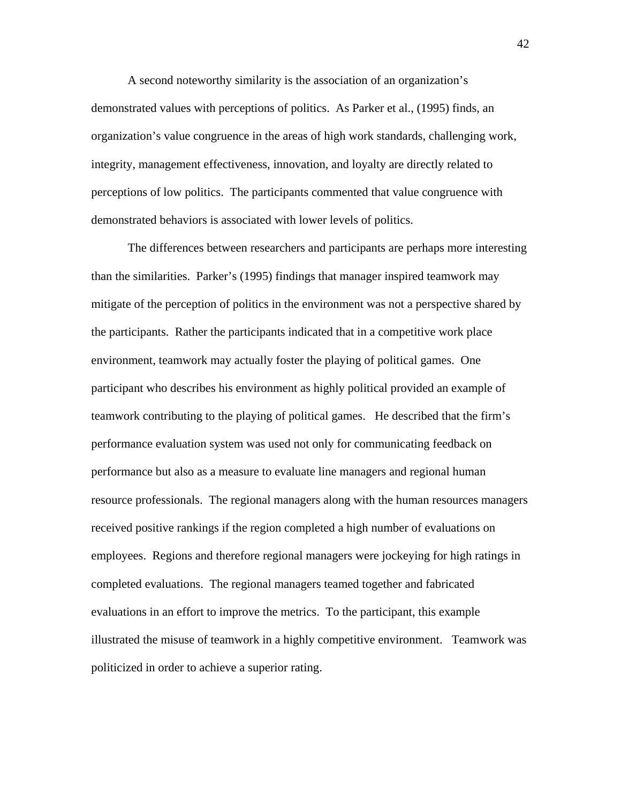A second noteworthy similarity is the association of an organization's demonstrated values with perceptions of politics. As Parker et al., (1995) finds, an organization's value congruence in the areas of high work standards, challenging work, integrity, management effectiveness, innovation, and loyalty are directly related to perceptions of low politics. The participants commented that value congruence with demonstrated behaviors is associated with lower levels of politics.

The differences between researchers and participants are perhaps more interesting than the similarities. Parker's (1995) findings that manager inspired teamwork may mitigate of the perception of politics in the environment was not a perspective shared by the participants. Rather the participants indicated that in a competitive work place environment, teamwork may actually foster the playing of political games. One participant who describes his environment as highly political provided an example of teamwork contributing to the playing of political games. He described that the firm's performance evaluation system was used not only for communicating feedback on performance but also as a measure to evaluate line managers and regional human resource professionals. The regional managers along with the human resources managers received positive rankings if the region completed a high number of evaluations on employees. Regions and therefore regional managers were jockeying for high ratings in completed evaluations. The regional managers teamed together and fabricated evaluations in an effort to improve the metrics. To the participant, this example illustrated the misuse of teamwork in a highly competitive environment. Teamwork was politicized in order to achieve a superior rating.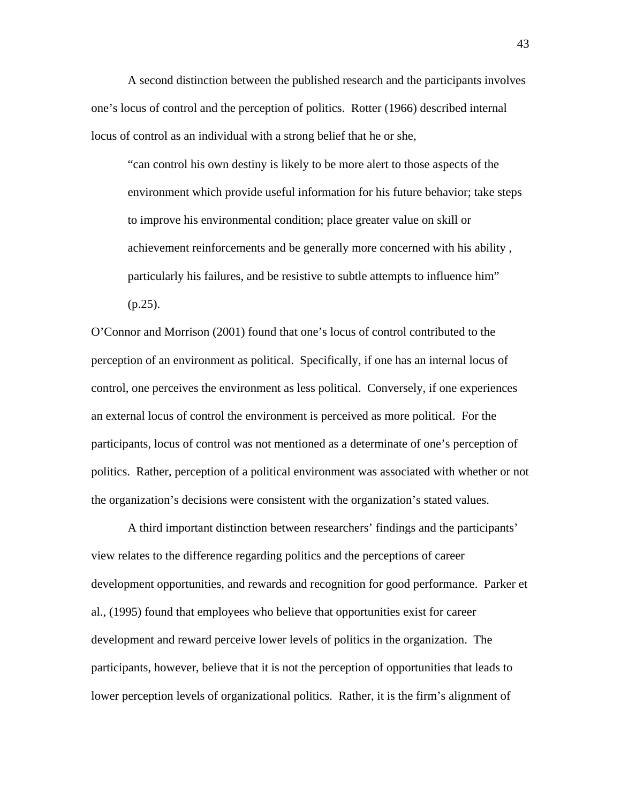A second distinction between the published research and the participants involves one's locus of control and the perception of politics. Rotter (1966) described internal locus of control as an individual with a strong belief that he or she,

"can control his own destiny is likely to be more alert to those aspects of the environment which provide useful information for his future behavior; take steps to improve his environmental condition; place greater value on skill or achievement reinforcements and be generally more concerned with his ability , particularly his failures, and be resistive to subtle attempts to influence him" (p.25).

O'Connor and Morrison (2001) found that one's locus of control contributed to the perception of an environment as political. Specifically, if one has an internal locus of control, one perceives the environment as less political. Conversely, if one experiences an external locus of control the environment is perceived as more political. For the participants, locus of control was not mentioned as a determinate of one's perception of politics. Rather, perception of a political environment was associated with whether or not the organization's decisions were consistent with the organization's stated values.

 A third important distinction between researchers' findings and the participants' view relates to the difference regarding politics and the perceptions of career development opportunities, and rewards and recognition for good performance. Parker et al., (1995) found that employees who believe that opportunities exist for career development and reward perceive lower levels of politics in the organization. The participants, however, believe that it is not the perception of opportunities that leads to lower perception levels of organizational politics. Rather, it is the firm's alignment of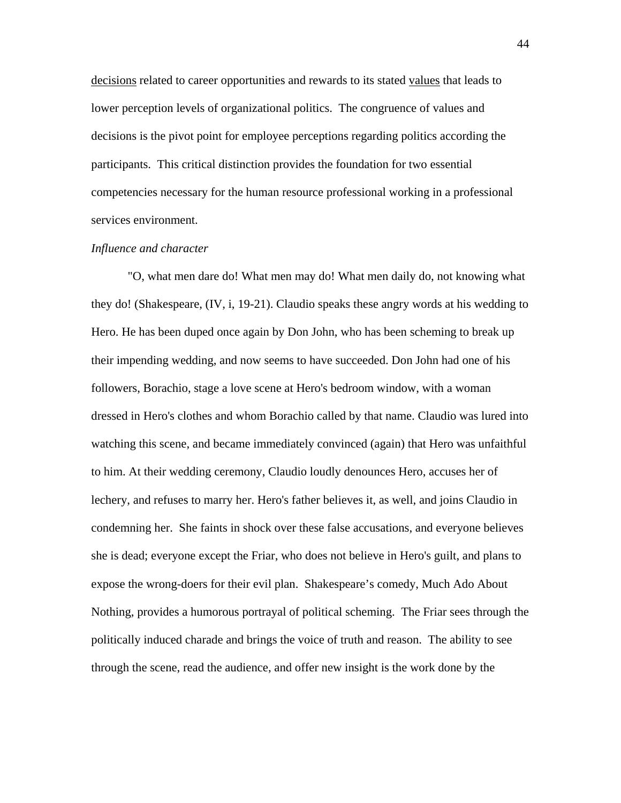decisions related to career opportunities and rewards to its stated values that leads to lower perception levels of organizational politics. The congruence of values and decisions is the pivot point for employee perceptions regarding politics according the participants. This critical distinction provides the foundation for two essential competencies necessary for the human resource professional working in a professional services environment.

#### *Influence and character*

 "O, what men dare do! What men may do! What men daily do, not knowing what they do! (Shakespeare, (IV, i, 19-21). Claudio speaks these angry words at his wedding to Hero. He has been duped once again by Don John, who has been scheming to break up their impending wedding, and now seems to have succeeded. Don John had one of his followers, Borachio, stage a love scene at Hero's bedroom window, with a woman dressed in Hero's clothes and whom Borachio called by that name. Claudio was lured into watching this scene, and became immediately convinced (again) that Hero was unfaithful to him. At their wedding ceremony, Claudio loudly denounces Hero, accuses her of lechery, and refuses to marry her. Hero's father believes it, as well, and joins Claudio in condemning her. She faints in shock over these false accusations, and everyone believes she is dead; everyone except the Friar, who does not believe in Hero's guilt, and plans to expose the wrong-doers for their evil plan. Shakespeare's comedy, Much Ado About Nothing, provides a humorous portrayal of political scheming. The Friar sees through the politically induced charade and brings the voice of truth and reason. The ability to see through the scene, read the audience, and offer new insight is the work done by the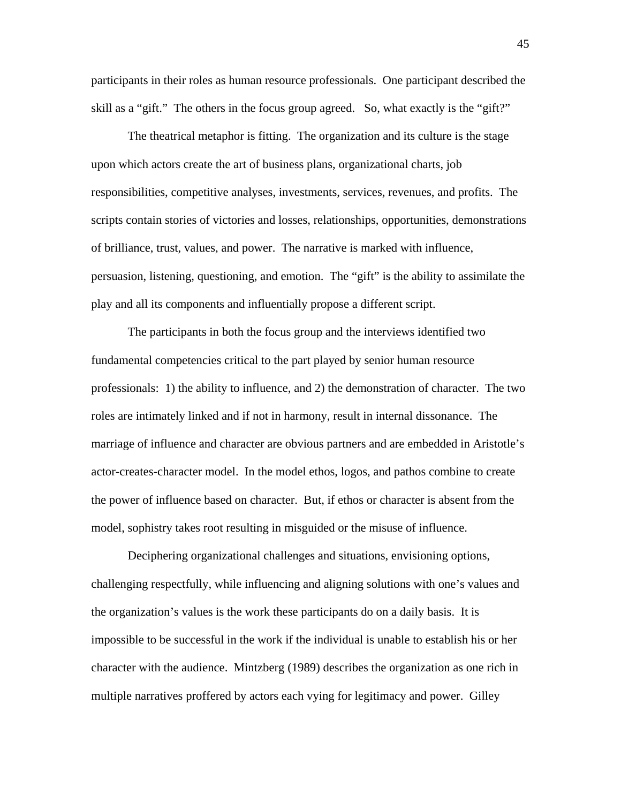participants in their roles as human resource professionals. One participant described the skill as a "gift." The others in the focus group agreed. So, what exactly is the "gift?"

 The theatrical metaphor is fitting. The organization and its culture is the stage upon which actors create the art of business plans, organizational charts, job responsibilities, competitive analyses, investments, services, revenues, and profits. The scripts contain stories of victories and losses, relationships, opportunities, demonstrations of brilliance, trust, values, and power. The narrative is marked with influence, persuasion, listening, questioning, and emotion. The "gift" is the ability to assimilate the play and all its components and influentially propose a different script.

 The participants in both the focus group and the interviews identified two fundamental competencies critical to the part played by senior human resource professionals: 1) the ability to influence, and 2) the demonstration of character. The two roles are intimately linked and if not in harmony, result in internal dissonance. The marriage of influence and character are obvious partners and are embedded in Aristotle's actor-creates-character model. In the model ethos, logos, and pathos combine to create the power of influence based on character. But, if ethos or character is absent from the model, sophistry takes root resulting in misguided or the misuse of influence.

 Deciphering organizational challenges and situations, envisioning options, challenging respectfully, while influencing and aligning solutions with one's values and the organization's values is the work these participants do on a daily basis. It is impossible to be successful in the work if the individual is unable to establish his or her character with the audience. Mintzberg (1989) describes the organization as one rich in multiple narratives proffered by actors each vying for legitimacy and power. Gilley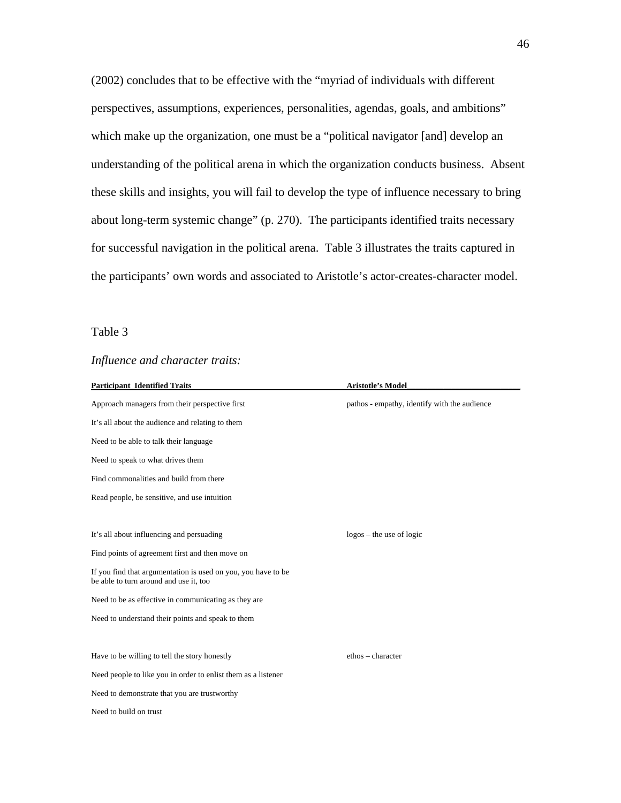(2002) concludes that to be effective with the "myriad of individuals with different perspectives, assumptions, experiences, personalities, agendas, goals, and ambitions" which make up the organization, one must be a "political navigator [and] develop an understanding of the political arena in which the organization conducts business. Absent these skills and insights, you will fail to develop the type of influence necessary to bring about long-term systemic change" (p. 270). The participants identified traits necessary for successful navigation in the political arena. Table 3 illustrates the traits captured in the participants' own words and associated to Aristotle's actor-creates-character model.

# Table 3

# *Influence and character traits:*

| <b>Participant Identified Traits</b>                                                                    | <b>Aristotle's Model</b>                     |
|---------------------------------------------------------------------------------------------------------|----------------------------------------------|
| Approach managers from their perspective first                                                          | pathos - empathy, identify with the audience |
| It's all about the audience and relating to them                                                        |                                              |
| Need to be able to talk their language                                                                  |                                              |
| Need to speak to what drives them                                                                       |                                              |
| Find commonalities and build from there                                                                 |                                              |
| Read people, be sensitive, and use intuition                                                            |                                              |
|                                                                                                         |                                              |
| It's all about influencing and persuading                                                               | $logos - the$ use of logic                   |
| Find points of agreement first and then move on                                                         |                                              |
| If you find that argumentation is used on you, you have to be<br>be able to turn around and use it, too |                                              |
| Need to be as effective in communicating as they are                                                    |                                              |
| Need to understand their points and speak to them                                                       |                                              |
|                                                                                                         |                                              |
| Have to be willing to tell the story honestly                                                           | ethos - character                            |
| Need people to like you in order to enlist them as a listener                                           |                                              |
| Need to demonstrate that you are trustworthy                                                            |                                              |
| Need to build on trust.                                                                                 |                                              |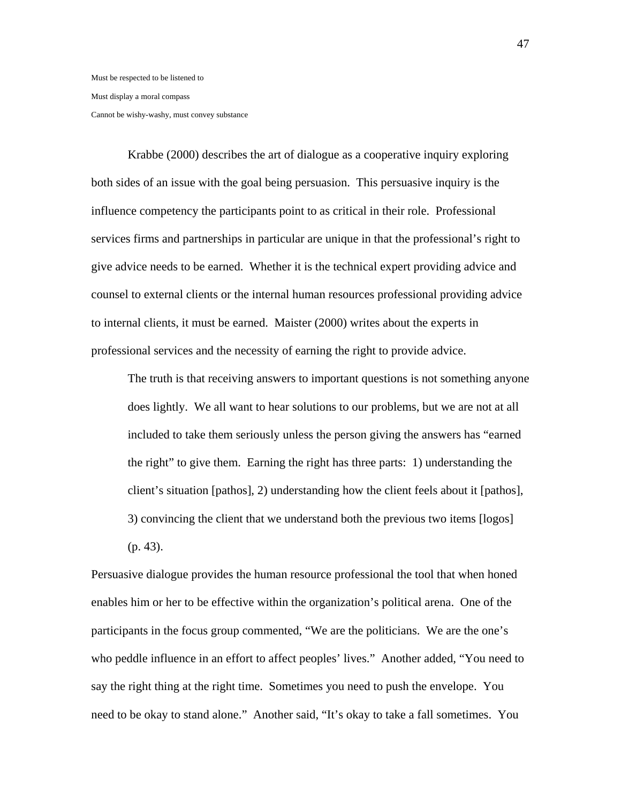Must be respected to be listened to Must display a moral compass Cannot be wishy-washy, must convey substance

Krabbe (2000) describes the art of dialogue as a cooperative inquiry exploring both sides of an issue with the goal being persuasion. This persuasive inquiry is the influence competency the participants point to as critical in their role. Professional services firms and partnerships in particular are unique in that the professional's right to give advice needs to be earned. Whether it is the technical expert providing advice and counsel to external clients or the internal human resources professional providing advice to internal clients, it must be earned. Maister (2000) writes about the experts in professional services and the necessity of earning the right to provide advice.

The truth is that receiving answers to important questions is not something anyone does lightly. We all want to hear solutions to our problems, but we are not at all included to take them seriously unless the person giving the answers has "earned the right" to give them. Earning the right has three parts: 1) understanding the client's situation [pathos], 2) understanding how the client feels about it [pathos], 3) convincing the client that we understand both the previous two items [logos] (p. 43).

Persuasive dialogue provides the human resource professional the tool that when honed enables him or her to be effective within the organization's political arena. One of the participants in the focus group commented, "We are the politicians. We are the one's who peddle influence in an effort to affect peoples' lives." Another added, "You need to say the right thing at the right time. Sometimes you need to push the envelope. You need to be okay to stand alone." Another said, "It's okay to take a fall sometimes. You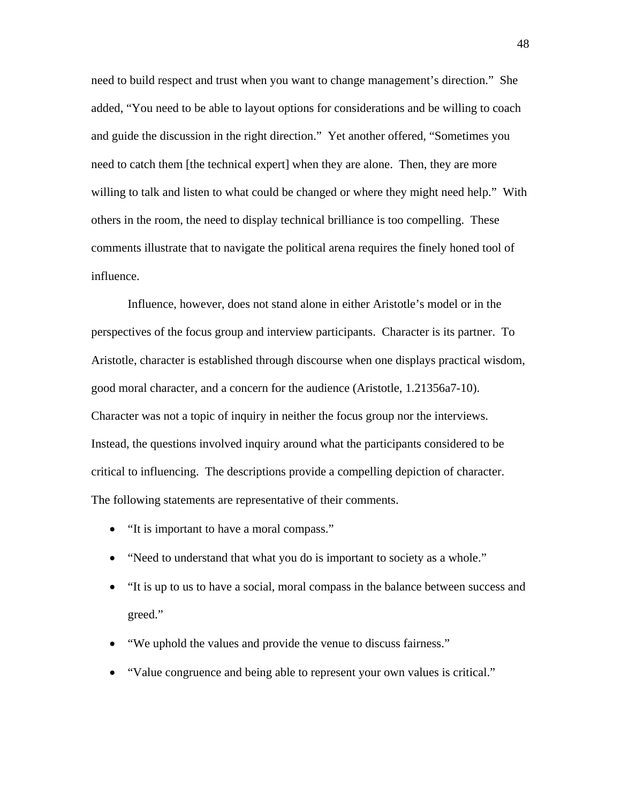need to build respect and trust when you want to change management's direction." She added, "You need to be able to layout options for considerations and be willing to coach and guide the discussion in the right direction." Yet another offered, "Sometimes you need to catch them [the technical expert] when they are alone. Then, they are more willing to talk and listen to what could be changed or where they might need help." With others in the room, the need to display technical brilliance is too compelling. These comments illustrate that to navigate the political arena requires the finely honed tool of influence.

 Influence, however, does not stand alone in either Aristotle's model or in the perspectives of the focus group and interview participants. Character is its partner. To Aristotle, character is established through discourse when one displays practical wisdom, good moral character, and a concern for the audience (Aristotle, 1.21356a7-10). Character was not a topic of inquiry in neither the focus group nor the interviews. Instead, the questions involved inquiry around what the participants considered to be critical to influencing. The descriptions provide a compelling depiction of character. The following statements are representative of their comments.

- "It is important to have a moral compass."
- "Need to understand that what you do is important to society as a whole."
- "It is up to us to have a social, moral compass in the balance between success and greed."
- "We uphold the values and provide the venue to discuss fairness."
- "Value congruence and being able to represent your own values is critical."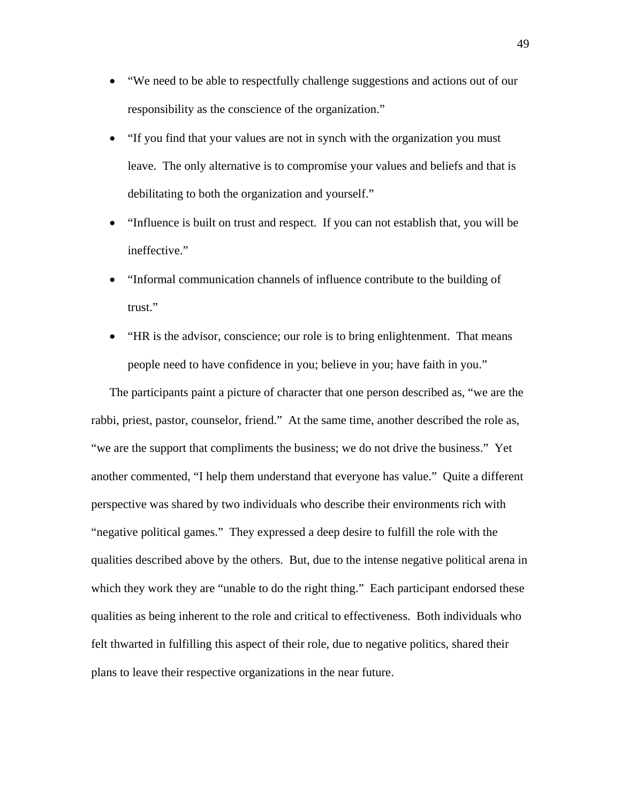- "We need to be able to respectfully challenge suggestions and actions out of our responsibility as the conscience of the organization."
- "If you find that your values are not in synch with the organization you must leave. The only alternative is to compromise your values and beliefs and that is debilitating to both the organization and yourself."
- "Influence is built on trust and respect. If you can not establish that, you will be ineffective."
- "Informal communication channels of influence contribute to the building of trust."
- "HR is the advisor, conscience; our role is to bring enlightenment. That means people need to have confidence in you; believe in you; have faith in you."

The participants paint a picture of character that one person described as, "we are the rabbi, priest, pastor, counselor, friend." At the same time, another described the role as, "we are the support that compliments the business; we do not drive the business." Yet another commented, "I help them understand that everyone has value." Quite a different perspective was shared by two individuals who describe their environments rich with "negative political games." They expressed a deep desire to fulfill the role with the qualities described above by the others. But, due to the intense negative political arena in which they work they are "unable to do the right thing." Each participant endorsed these qualities as being inherent to the role and critical to effectiveness. Both individuals who felt thwarted in fulfilling this aspect of their role, due to negative politics, shared their plans to leave their respective organizations in the near future.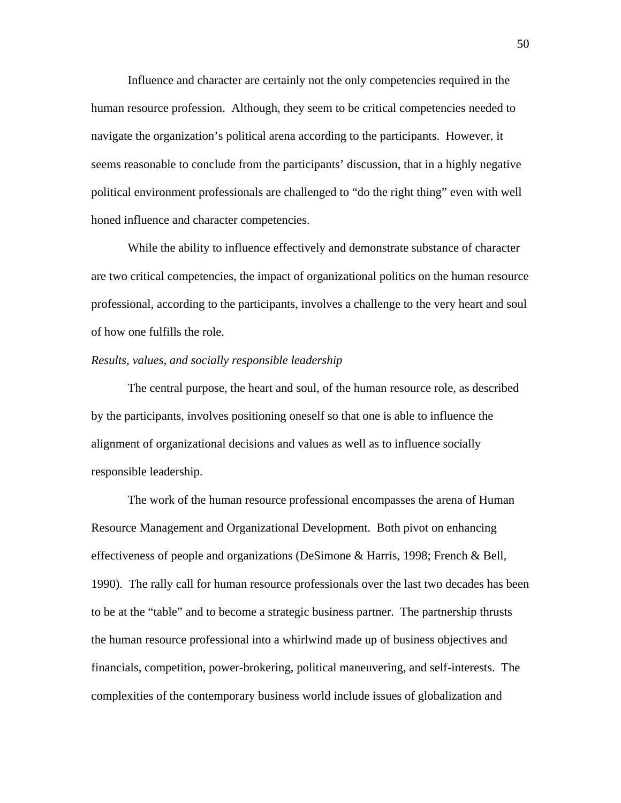Influence and character are certainly not the only competencies required in the human resource profession. Although, they seem to be critical competencies needed to navigate the organization's political arena according to the participants. However, it seems reasonable to conclude from the participants' discussion, that in a highly negative political environment professionals are challenged to "do the right thing" even with well honed influence and character competencies.

While the ability to influence effectively and demonstrate substance of character are two critical competencies, the impact of organizational politics on the human resource professional, according to the participants, involves a challenge to the very heart and soul of how one fulfills the role.

# *Results, values, and socially responsible leadership*

The central purpose, the heart and soul, of the human resource role, as described by the participants, involves positioning oneself so that one is able to influence the alignment of organizational decisions and values as well as to influence socially responsible leadership.

The work of the human resource professional encompasses the arena of Human Resource Management and Organizational Development. Both pivot on enhancing effectiveness of people and organizations (DeSimone & Harris, 1998; French & Bell, 1990). The rally call for human resource professionals over the last two decades has been to be at the "table" and to become a strategic business partner. The partnership thrusts the human resource professional into a whirlwind made up of business objectives and financials, competition, power-brokering, political maneuvering, and self-interests. The complexities of the contemporary business world include issues of globalization and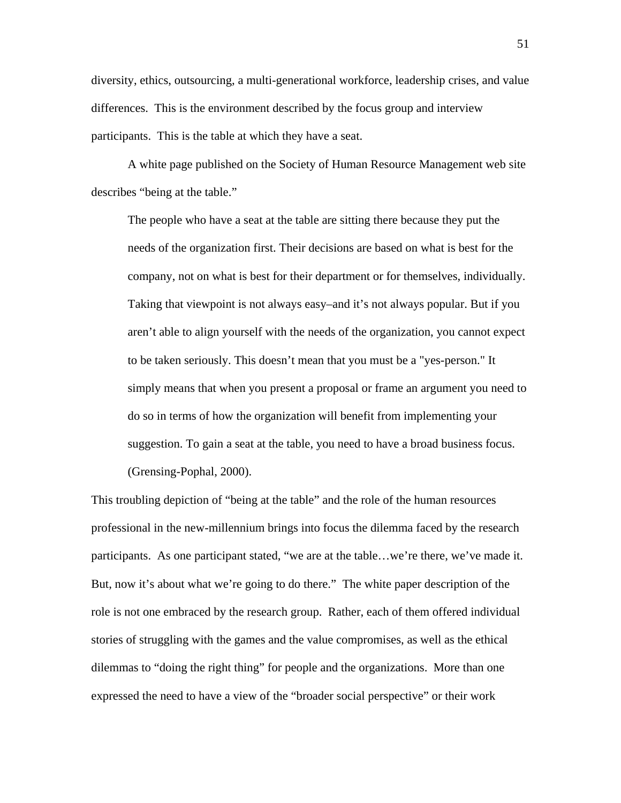diversity, ethics, outsourcing, a multi-generational workforce, leadership crises, and value differences. This is the environment described by the focus group and interview participants. This is the table at which they have a seat.

A white page published on the Society of Human Resource Management web site describes "being at the table."

The people who have a seat at the table are sitting there because they put the needs of the organization first. Their decisions are based on what is best for the company, not on what is best for their department or for themselves, individually. Taking that viewpoint is not always easy–and it's not always popular. But if you aren't able to align yourself with the needs of the organization, you cannot expect to be taken seriously. This doesn't mean that you must be a "yes-person." It simply means that when you present a proposal or frame an argument you need to do so in terms of how the organization will benefit from implementing your suggestion. To gain a seat at the table, you need to have a broad business focus. (Grensing-Pophal, 2000).

This troubling depiction of "being at the table" and the role of the human resources professional in the new-millennium brings into focus the dilemma faced by the research participants. As one participant stated, "we are at the table…we're there, we've made it. But, now it's about what we're going to do there." The white paper description of the role is not one embraced by the research group. Rather, each of them offered individual stories of struggling with the games and the value compromises, as well as the ethical dilemmas to "doing the right thing" for people and the organizations. More than one expressed the need to have a view of the "broader social perspective" or their work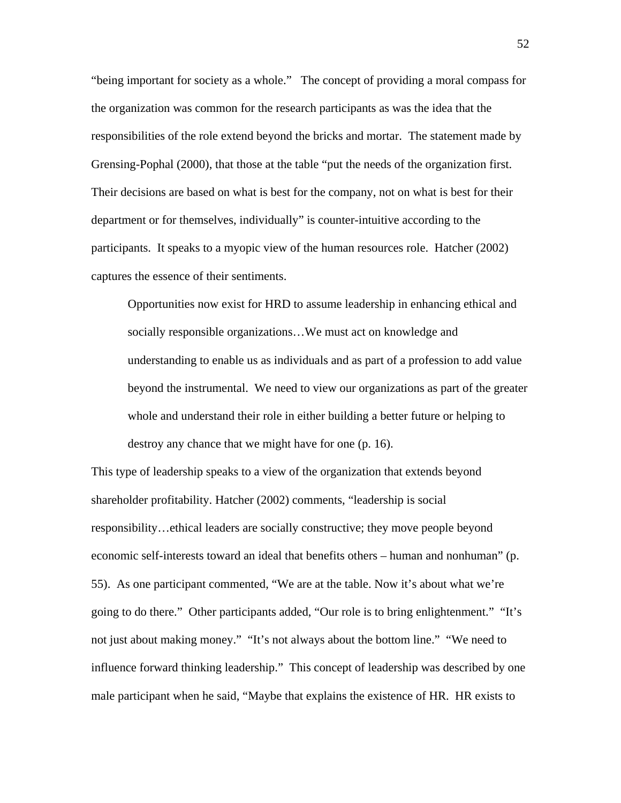"being important for society as a whole." The concept of providing a moral compass for the organization was common for the research participants as was the idea that the responsibilities of the role extend beyond the bricks and mortar. The statement made by Grensing-Pophal (2000), that those at the table "put the needs of the organization first. Their decisions are based on what is best for the company, not on what is best for their department or for themselves, individually" is counter-intuitive according to the participants. It speaks to a myopic view of the human resources role. Hatcher (2002) captures the essence of their sentiments.

Opportunities now exist for HRD to assume leadership in enhancing ethical and socially responsible organizations…We must act on knowledge and understanding to enable us as individuals and as part of a profession to add value beyond the instrumental. We need to view our organizations as part of the greater whole and understand their role in either building a better future or helping to destroy any chance that we might have for one (p. 16).

This type of leadership speaks to a view of the organization that extends beyond shareholder profitability. Hatcher (2002) comments, "leadership is social responsibility…ethical leaders are socially constructive; they move people beyond economic self-interests toward an ideal that benefits others – human and nonhuman" (p. 55). As one participant commented, "We are at the table. Now it's about what we're going to do there." Other participants added, "Our role is to bring enlightenment." "It's not just about making money." "It's not always about the bottom line." "We need to influence forward thinking leadership." This concept of leadership was described by one male participant when he said, "Maybe that explains the existence of HR. HR exists to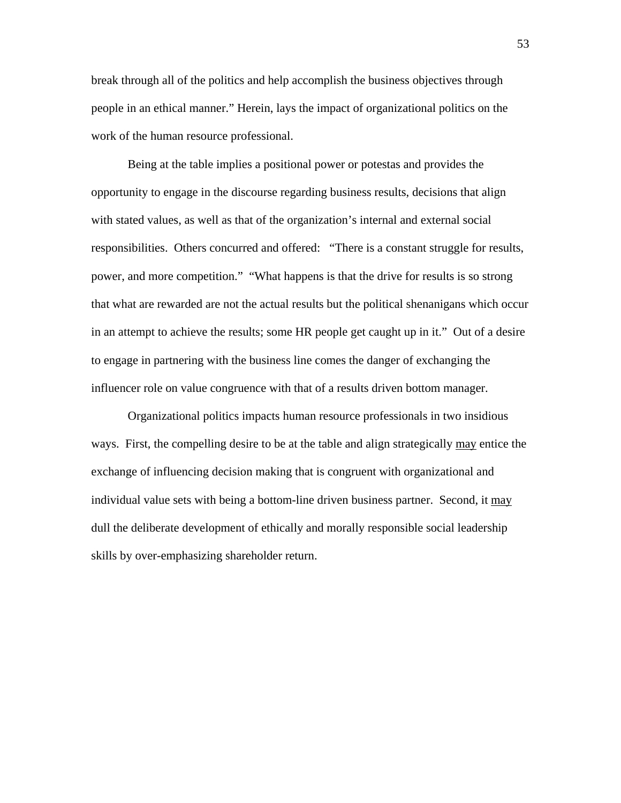break through all of the politics and help accomplish the business objectives through people in an ethical manner." Herein, lays the impact of organizational politics on the work of the human resource professional.

Being at the table implies a positional power or potestas and provides the opportunity to engage in the discourse regarding business results, decisions that align with stated values, as well as that of the organization's internal and external social responsibilities. Others concurred and offered: "There is a constant struggle for results, power, and more competition." "What happens is that the drive for results is so strong that what are rewarded are not the actual results but the political shenanigans which occur in an attempt to achieve the results; some HR people get caught up in it." Out of a desire to engage in partnering with the business line comes the danger of exchanging the influencer role on value congruence with that of a results driven bottom manager.

Organizational politics impacts human resource professionals in two insidious ways. First, the compelling desire to be at the table and align strategically may entice the exchange of influencing decision making that is congruent with organizational and individual value sets with being a bottom-line driven business partner. Second, it may dull the deliberate development of ethically and morally responsible social leadership skills by over-emphasizing shareholder return.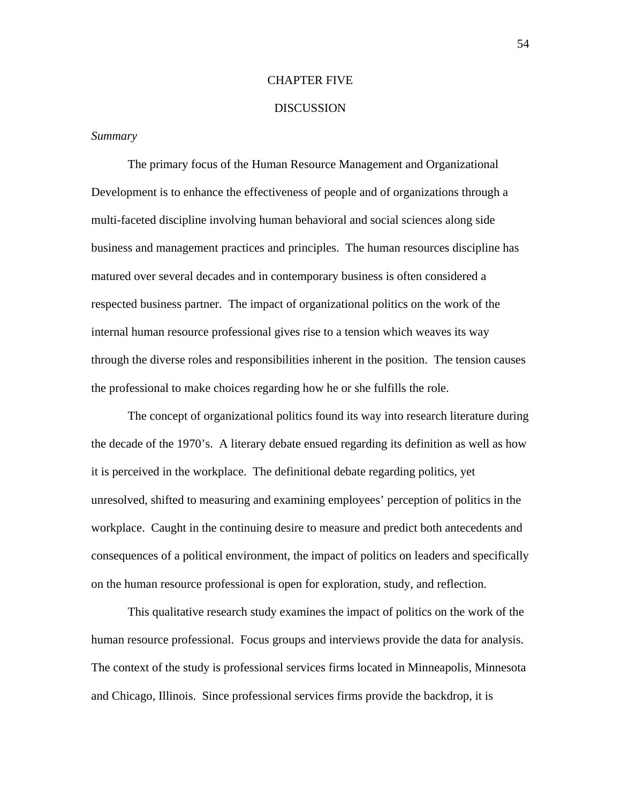# CHAPTER FIVE

#### DISCUSSION

#### *Summary*

 The primary focus of the Human Resource Management and Organizational Development is to enhance the effectiveness of people and of organizations through a multi-faceted discipline involving human behavioral and social sciences along side business and management practices and principles. The human resources discipline has matured over several decades and in contemporary business is often considered a respected business partner. The impact of organizational politics on the work of the internal human resource professional gives rise to a tension which weaves its way through the diverse roles and responsibilities inherent in the position. The tension causes the professional to make choices regarding how he or she fulfills the role.

 The concept of organizational politics found its way into research literature during the decade of the 1970's. A literary debate ensued regarding its definition as well as how it is perceived in the workplace. The definitional debate regarding politics, yet unresolved, shifted to measuring and examining employees' perception of politics in the workplace. Caught in the continuing desire to measure and predict both antecedents and consequences of a political environment, the impact of politics on leaders and specifically on the human resource professional is open for exploration, study, and reflection.

 This qualitative research study examines the impact of politics on the work of the human resource professional. Focus groups and interviews provide the data for analysis. The context of the study is professional services firms located in Minneapolis, Minnesota and Chicago, Illinois. Since professional services firms provide the backdrop, it is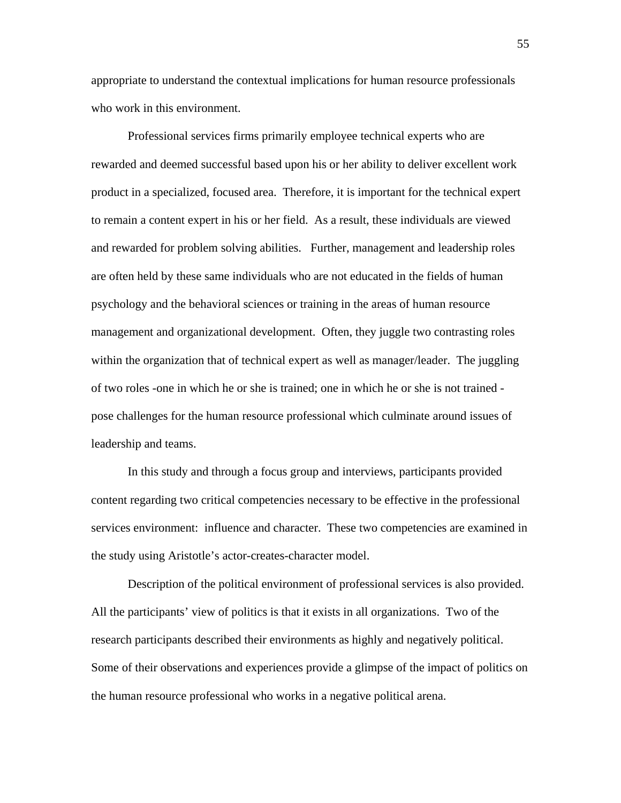appropriate to understand the contextual implications for human resource professionals who work in this environment.

 Professional services firms primarily employee technical experts who are rewarded and deemed successful based upon his or her ability to deliver excellent work product in a specialized, focused area. Therefore, it is important for the technical expert to remain a content expert in his or her field. As a result, these individuals are viewed and rewarded for problem solving abilities. Further, management and leadership roles are often held by these same individuals who are not educated in the fields of human psychology and the behavioral sciences or training in the areas of human resource management and organizational development. Often, they juggle two contrasting roles within the organization that of technical expert as well as manager/leader. The juggling of two roles -one in which he or she is trained; one in which he or she is not trained pose challenges for the human resource professional which culminate around issues of leadership and teams.

 In this study and through a focus group and interviews, participants provided content regarding two critical competencies necessary to be effective in the professional services environment: influence and character. These two competencies are examined in the study using Aristotle's actor-creates-character model.

 Description of the political environment of professional services is also provided. All the participants' view of politics is that it exists in all organizations. Two of the research participants described their environments as highly and negatively political. Some of their observations and experiences provide a glimpse of the impact of politics on the human resource professional who works in a negative political arena.

55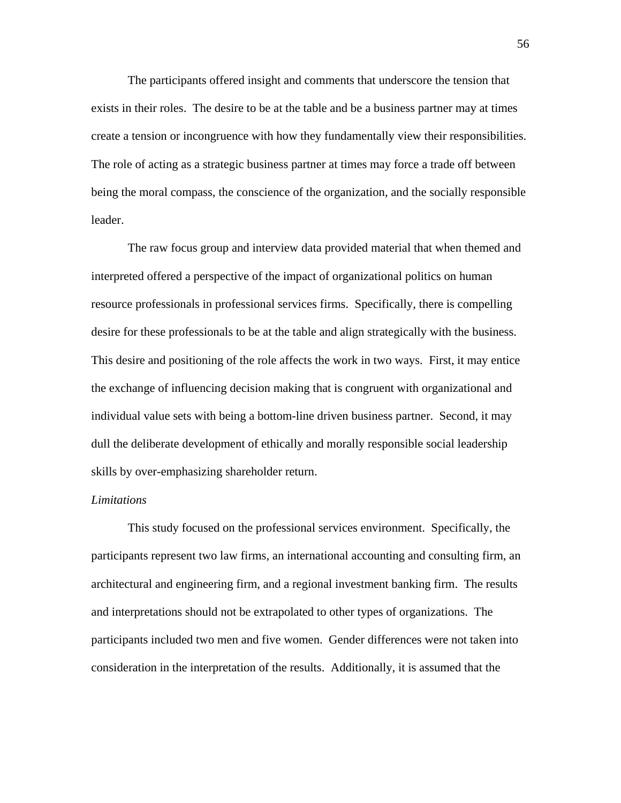The participants offered insight and comments that underscore the tension that exists in their roles. The desire to be at the table and be a business partner may at times create a tension or incongruence with how they fundamentally view their responsibilities. The role of acting as a strategic business partner at times may force a trade off between being the moral compass, the conscience of the organization, and the socially responsible leader.

The raw focus group and interview data provided material that when themed and interpreted offered a perspective of the impact of organizational politics on human resource professionals in professional services firms. Specifically, there is compelling desire for these professionals to be at the table and align strategically with the business. This desire and positioning of the role affects the work in two ways. First, it may entice the exchange of influencing decision making that is congruent with organizational and individual value sets with being a bottom-line driven business partner. Second, it may dull the deliberate development of ethically and morally responsible social leadership skills by over-emphasizing shareholder return.

#### *Limitations*

This study focused on the professional services environment. Specifically, the participants represent two law firms, an international accounting and consulting firm, an architectural and engineering firm, and a regional investment banking firm. The results and interpretations should not be extrapolated to other types of organizations. The participants included two men and five women. Gender differences were not taken into consideration in the interpretation of the results. Additionally, it is assumed that the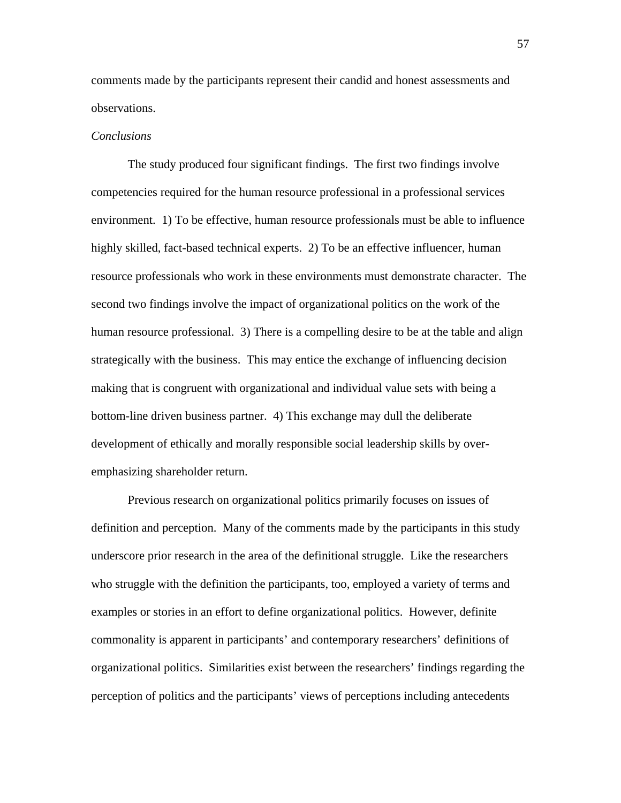comments made by the participants represent their candid and honest assessments and observations.

#### *Conclusions*

The study produced four significant findings. The first two findings involve competencies required for the human resource professional in a professional services environment. 1) To be effective, human resource professionals must be able to influence highly skilled, fact-based technical experts. 2) To be an effective influencer, human resource professionals who work in these environments must demonstrate character. The second two findings involve the impact of organizational politics on the work of the human resource professional. 3) There is a compelling desire to be at the table and align strategically with the business. This may entice the exchange of influencing decision making that is congruent with organizational and individual value sets with being a bottom-line driven business partner. 4) This exchange may dull the deliberate development of ethically and morally responsible social leadership skills by overemphasizing shareholder return.

 Previous research on organizational politics primarily focuses on issues of definition and perception. Many of the comments made by the participants in this study underscore prior research in the area of the definitional struggle. Like the researchers who struggle with the definition the participants, too, employed a variety of terms and examples or stories in an effort to define organizational politics. However, definite commonality is apparent in participants' and contemporary researchers' definitions of organizational politics. Similarities exist between the researchers' findings regarding the perception of politics and the participants' views of perceptions including antecedents

57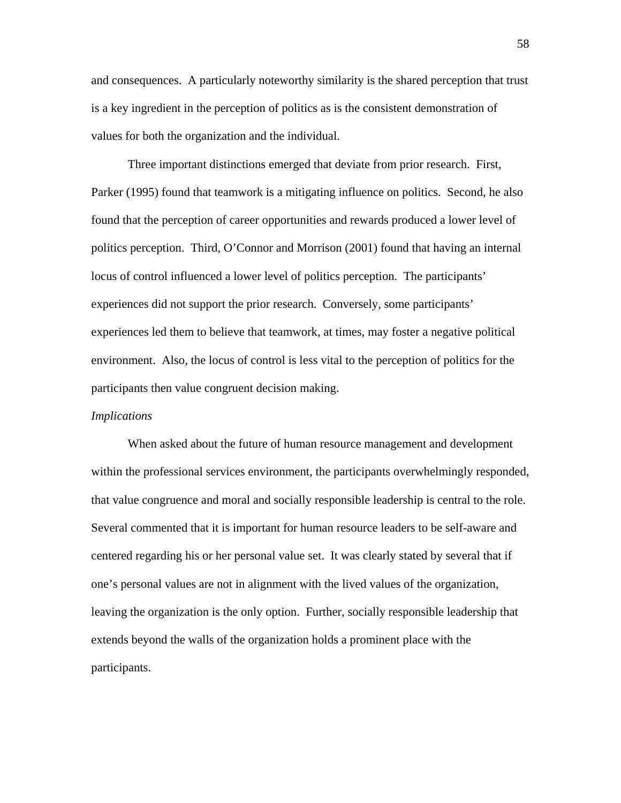and consequences. A particularly noteworthy similarity is the shared perception that trust is a key ingredient in the perception of politics as is the consistent demonstration of values for both the organization and the individual.

 Three important distinctions emerged that deviate from prior research. First, Parker (1995) found that teamwork is a mitigating influence on politics. Second, he also found that the perception of career opportunities and rewards produced a lower level of politics perception. Third, O'Connor and Morrison (2001) found that having an internal locus of control influenced a lower level of politics perception. The participants' experiences did not support the prior research. Conversely, some participants' experiences led them to believe that teamwork, at times, may foster a negative political environment. Also, the locus of control is less vital to the perception of politics for the participants then value congruent decision making.

#### *Implications*

 When asked about the future of human resource management and development within the professional services environment, the participants overwhelmingly responded, that value congruence and moral and socially responsible leadership is central to the role. Several commented that it is important for human resource leaders to be self-aware and centered regarding his or her personal value set. It was clearly stated by several that if one's personal values are not in alignment with the lived values of the organization, leaving the organization is the only option. Further, socially responsible leadership that extends beyond the walls of the organization holds a prominent place with the participants.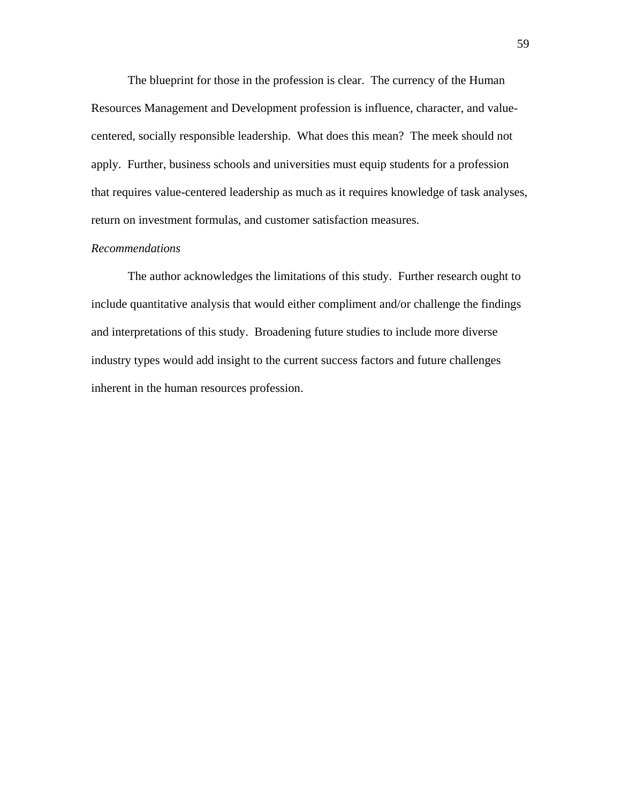The blueprint for those in the profession is clear. The currency of the Human Resources Management and Development profession is influence, character, and valuecentered, socially responsible leadership. What does this mean? The meek should not apply. Further, business schools and universities must equip students for a profession that requires value-centered leadership as much as it requires knowledge of task analyses, return on investment formulas, and customer satisfaction measures.

# *Recommendations*

 The author acknowledges the limitations of this study. Further research ought to include quantitative analysis that would either compliment and/or challenge the findings and interpretations of this study. Broadening future studies to include more diverse industry types would add insight to the current success factors and future challenges inherent in the human resources profession.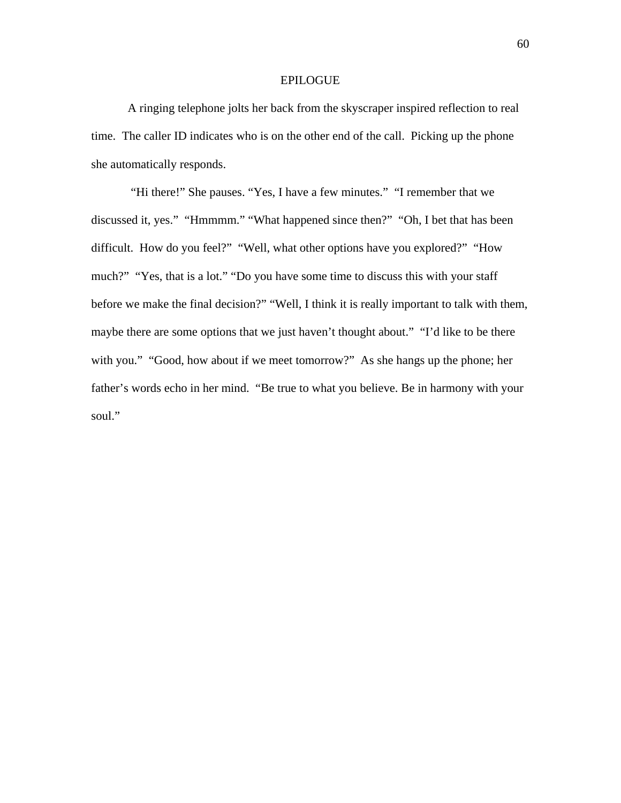#### EPILOGUE

 A ringing telephone jolts her back from the skyscraper inspired reflection to real time. The caller ID indicates who is on the other end of the call. Picking up the phone she automatically responds.

 "Hi there!" She pauses. "Yes, I have a few minutes." "I remember that we discussed it, yes." "Hmmmm." "What happened since then?" "Oh, I bet that has been difficult. How do you feel?" "Well, what other options have you explored?" "How much?" "Yes, that is a lot." "Do you have some time to discuss this with your staff before we make the final decision?" "Well, I think it is really important to talk with them, maybe there are some options that we just haven't thought about." "I'd like to be there with you." "Good, how about if we meet tomorrow?" As she hangs up the phone; her father's words echo in her mind. "Be true to what you believe. Be in harmony with your soul."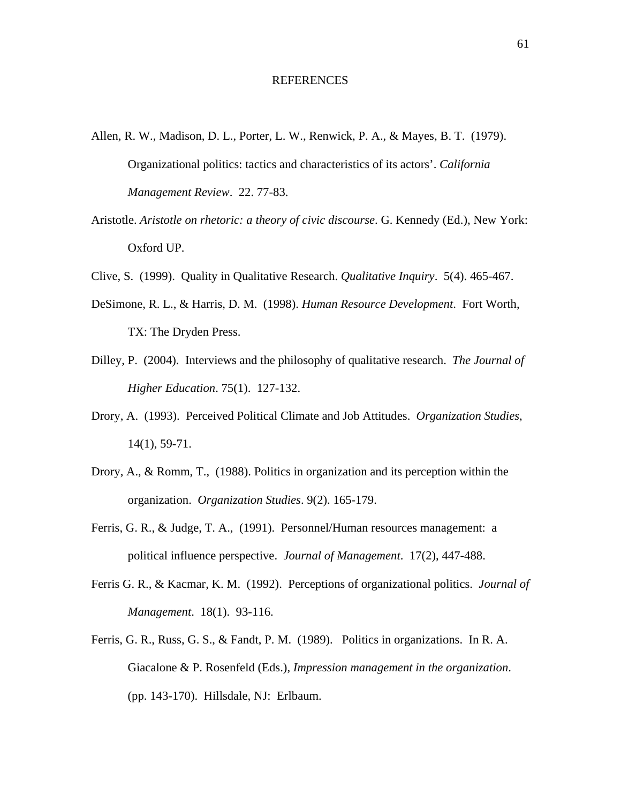#### REFERENCES

- Allen, R. W., Madison, D. L., Porter, L. W., Renwick, P. A., & Mayes, B. T. (1979). Organizational politics: tactics and characteristics of its actors'. *California Management Review*. 22. 77-83.
- Aristotle. *Aristotle on rhetoric: a theory of civic discourse*. G. Kennedy (Ed.), New York: Oxford UP.
- Clive, S. (1999). Quality in Qualitative Research. *Qualitative Inquiry*. 5(4). 465-467.
- DeSimone, R. L., & Harris, D. M. (1998). *Human Resource Development*. Fort Worth, TX: The Dryden Press.
- Dilley, P. (2004). Interviews and the philosophy of qualitative research. *The Journal of Higher Education*. 75(1). 127-132.
- Drory, A. (1993). Perceived Political Climate and Job Attitudes. *Organization Studies*, 14(1), 59-71.
- Drory, A., & Romm, T., (1988). Politics in organization and its perception within the organization. *Organization Studies*. 9(2). 165-179.
- Ferris, G. R., & Judge, T. A., (1991). Personnel/Human resources management: a political influence perspective. *Journal of Management*. 17(2), 447-488.
- Ferris G. R., & Kacmar, K. M. (1992). Perceptions of organizational politics. *Journal of Management*. 18(1). 93-116.
- Ferris, G. R., Russ, G. S., & Fandt, P. M. (1989). Politics in organizations. In R. A. Giacalone & P. Rosenfeld (Eds.), *Impression management in the organization*. (pp. 143-170). Hillsdale, NJ: Erlbaum.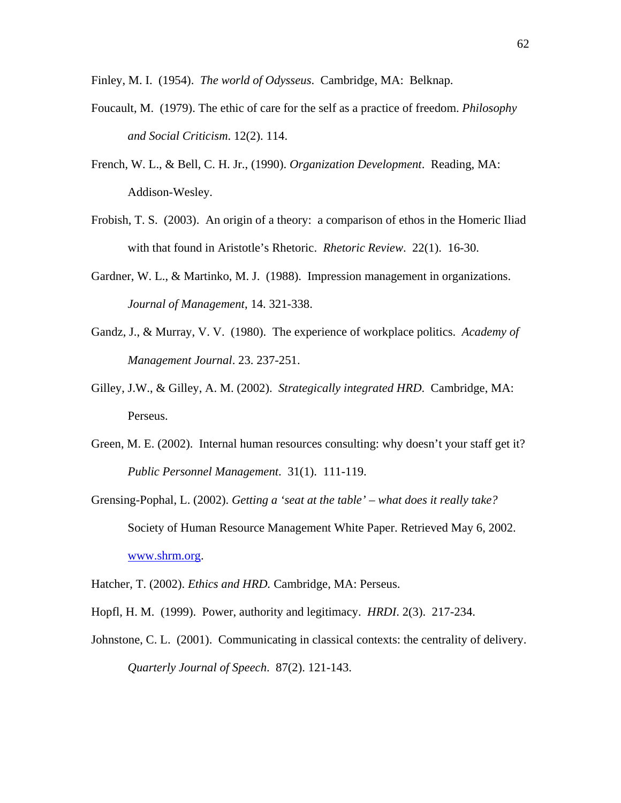Finley, M. I. (1954). *The world of Odysseus*. Cambridge, MA: Belknap.

- Foucault, M. (1979). The ethic of care for the self as a practice of freedom. *Philosophy and Social Criticism*. 12(2). 114.
- French, W. L., & Bell, C. H. Jr., (1990). *Organization Development*. Reading, MA: Addison-Wesley.
- Frobish, T. S. (2003). An origin of a theory: a comparison of ethos in the Homeric Iliad with that found in Aristotle's Rhetoric. *Rhetoric Review*. 22(1). 16-30.
- Gardner, W. L., & Martinko, M. J. (1988). Impression management in organizations. *Journal of Management*, 14. 321-338.
- Gandz, J., & Murray, V. V. (1980). The experience of workplace politics. *Academy of Management Journal*. 23. 237-251.
- Gilley, J.W., & Gilley, A. M. (2002). *Strategically integrated HRD*. Cambridge, MA: Perseus.
- Green, M. E. (2002). Internal human resources consulting: why doesn't your staff get it? *Public Personnel Management*. 31(1). 111-119.
- Grensing-Pophal, L. (2002). *Getting a 'seat at the table' what does it really take?* Society of Human Resource Management White Paper. Retrieved May 6, 2002. [www.shrm.org](http://www.shrm.org/).

Hatcher, T. (2002). *Ethics and HRD.* Cambridge, MA: Perseus.

- Hopfl, H. M. (1999). Power, authority and legitimacy. *HRDI*. 2(3). 217-234.
- Johnstone, C. L. (2001). Communicating in classical contexts: the centrality of delivery. *Quarterly Journal of Speech*. 87(2). 121-143.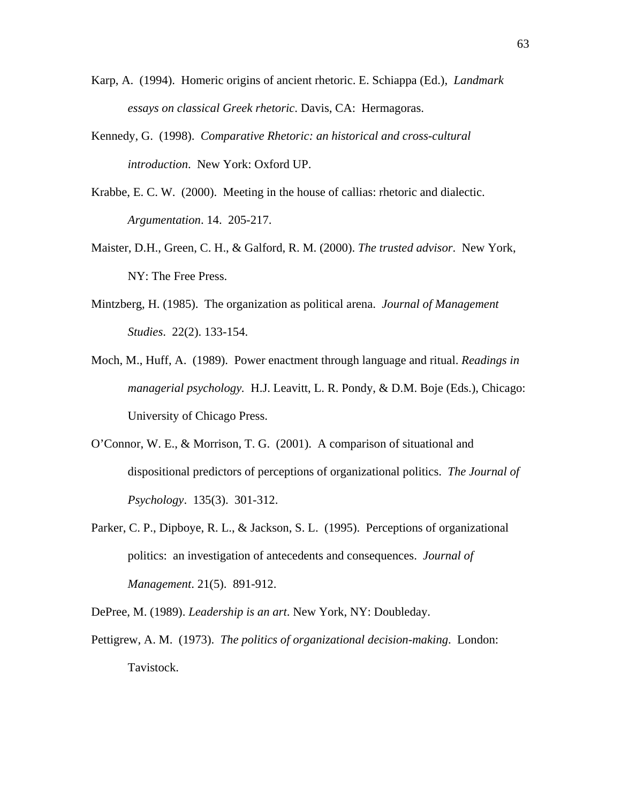- Karp, A. (1994). Homeric origins of ancient rhetoric. E. Schiappa (Ed.), *Landmark essays on classical Greek rhetoric*. Davis, CA: Hermagoras.
- Kennedy, G. (1998). *Comparative Rhetoric: an historical and cross-cultural introduction*. New York: Oxford UP.
- Krabbe, E. C. W. (2000). Meeting in the house of callias: rhetoric and dialectic. *Argumentation*. 14. 205-217.
- Maister, D.H., Green, C. H., & Galford, R. M. (2000). *The trusted advisor*. New York, NY: The Free Press.
- Mintzberg, H. (1985). The organization as political arena. *Journal of Management Studies*. 22(2). 133-154.
- Moch, M., Huff, A. (1989). Power enactment through language and ritual. *Readings in managerial psychology.* H.J. Leavitt, L. R. Pondy, & D.M. Boje (Eds.), Chicago: University of Chicago Press.
- O'Connor, W. E., & Morrison, T. G. (2001). A comparison of situational and dispositional predictors of perceptions of organizational politics. *The Journal of Psychology*. 135(3). 301-312.
- Parker, C. P., Dipboye, R. L., & Jackson, S. L. (1995). Perceptions of organizational politics: an investigation of antecedents and consequences. *Journal of Management*. 21(5). 891-912.

DePree, M. (1989). *Leadership is an art*. New York, NY: Doubleday.

Pettigrew, A. M. (1973). *The politics of organizational decision-making*. London: Tavistock.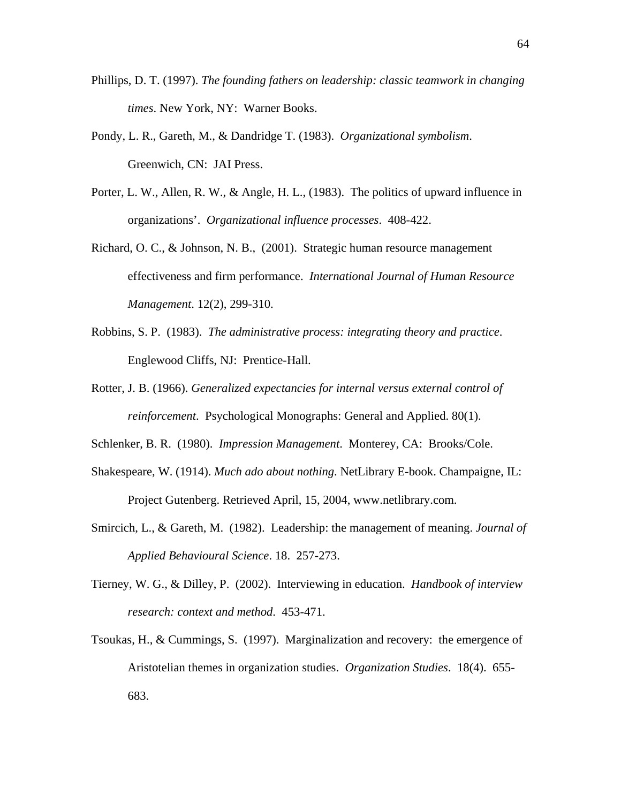- Phillips, D. T. (1997). *The founding fathers on leadership: classic teamwork in changing times*. New York, NY: Warner Books.
- Pondy, L. R., Gareth, M., & Dandridge T. (1983). *Organizational symbolism*. Greenwich, CN: JAI Press.
- Porter, L. W., Allen, R. W., & Angle, H. L., (1983). The politics of upward influence in organizations'. *Organizational influence processes*. 408-422.
- Richard, O. C., & Johnson, N. B., (2001). Strategic human resource management effectiveness and firm performance. *International Journal of Human Resource Management*. 12(2), 299-310.
- Robbins, S. P. (1983). *The administrative process: integrating theory and practice*. Englewood Cliffs, NJ: Prentice-Hall.
- Rotter, J. B. (1966). *Generalized expectancies for internal versus external control of reinforcement*. Psychological Monographs: General and Applied. 80(1).
- Schlenker, B. R. (1980). *Impression Management*. Monterey, CA: Brooks/Cole.
- Shakespeare, W. (1914). *Much ado about nothing*. NetLibrary E-book. Champaigne, IL: Project Gutenberg. Retrieved April, 15, 2004, www.netlibrary.com.
- Smircich, L., & Gareth, M. (1982). Leadership: the management of meaning. *Journal of Applied Behavioural Science*. 18. 257-273.
- Tierney, W. G., & Dilley, P. (2002). Interviewing in education. *Handbook of interview research: context and method*. 453-471.
- Tsoukas, H., & Cummings, S. (1997). Marginalization and recovery: the emergence of Aristotelian themes in organization studies. *Organization Studies*. 18(4). 655- 683.